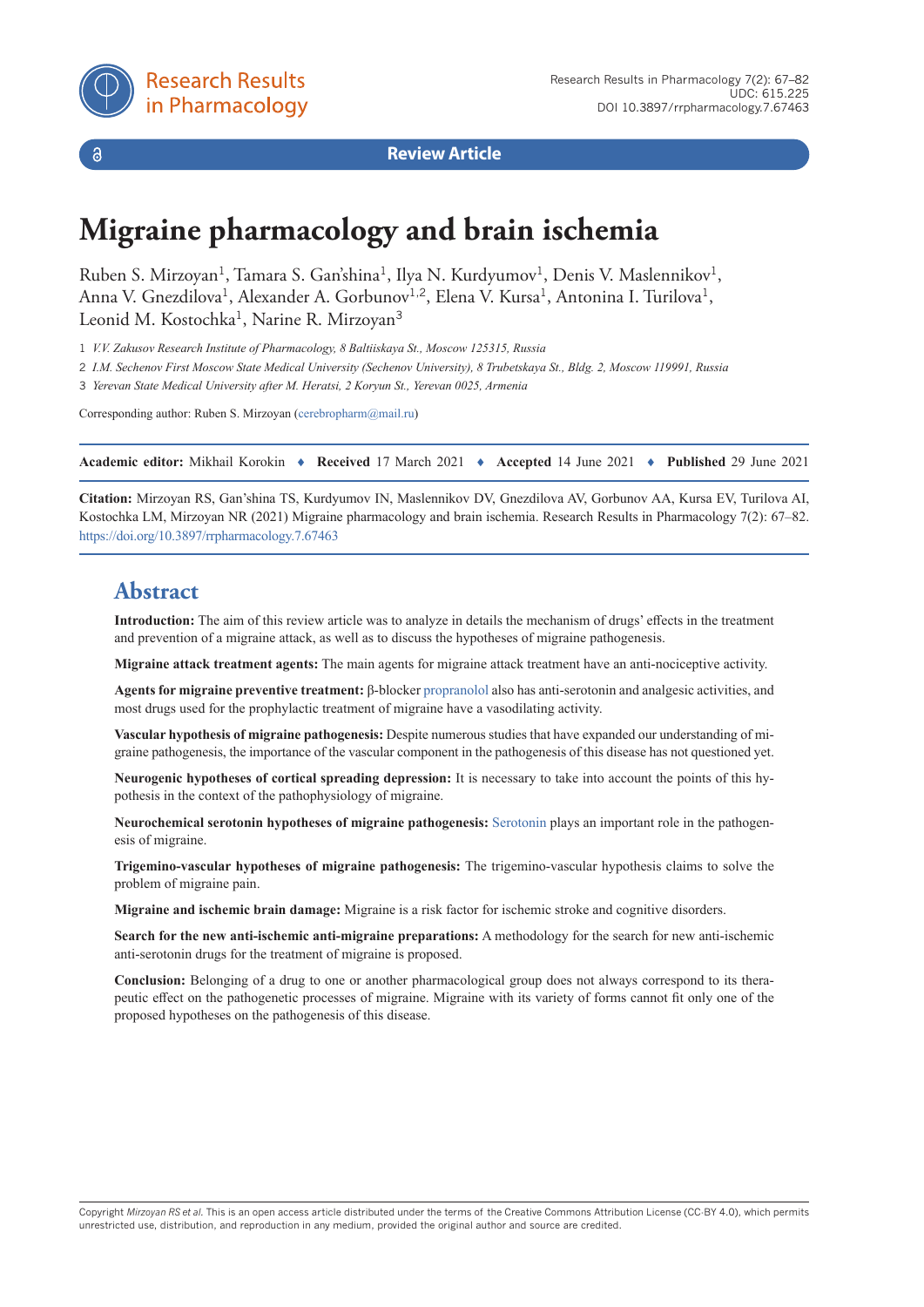

 $\delta$ 

**Review Article**

# **Migraine pharmacology and brain ischemia**

Ruben S. Mirzoyan<sup>1</sup>, Tamara S. Gan'shina<sup>1</sup>, Ilya N. Kurdyumov<sup>1</sup>, Denis V. Maslennikov<sup>1</sup>, Anna V. Gnezdilova<sup>1</sup>, Alexander A. Gorbunov<sup>1,2</sup>, Elena V. Kursa<sup>1</sup>, Antonina I. Turilova<sup>1</sup>, Leonid M. Kostochka<sup>1</sup>, Narine R. Mirzoyan<sup>3</sup>

1 *V.V. Zakusov Research Institute of Pharmacology, 8 Baltiiskaya St., Moscow 125315, Russia*

2 *I.M. Sechenov First Moscow State Medical University (Sechenov University), 8 Trubetskaya St., Bldg. 2, Moscow 119991, Russia*

3 *Yerevan State Medical University after M. Heratsi, 2 Koryun St., Yerevan 0025, Armenia*

Corresponding author: Ruben S. Mirzoyan [\(cerebropharm@mail.ru\)](mailto:cerebropharm@mail.ru)

**Academic editor:** Mikhail Korokin ♦ **Received** 17 March 2021 ♦ **Accepted** 14 June 2021 ♦ **Published** 29 June 2021

**Citation:** Mirzoyan RS, Gan'shina TS, Kurdyumov IN, Maslennikov DV, Gnezdilova AV, Gorbunov AA, Kursa EV, Turilova AI, Kostochka LM, Mirzoyan NR (2021) Migraine pharmacology and brain ischemia. Research Results in Pharmacology 7(2): 67–82. <https://doi.org/10.3897/rrpharmacology.7.67463>

## **Abstract**

**Introduction:** The aim of this review article was to analyze in details the mechanism of drugs' effects in the treatment and prevention of a migraine attack, as well as to discuss the hypotheses of migraine pathogenesis.

**Migraine attack treatment agents:** The main agents for migraine attack treatment have an anti-nociceptive activity.

**Agents for migraine preventive treatment:** β-blocker [propranolol](https://pubchem.ncbi.nlm.nih.gov/compound/Propranolol) also has anti-serotonin and analgesic activities, and most drugs used for the prophylactic treatment of migraine have a vasodilating activity.

**Vascular hypothesis of migraine pathogenesis:** Despite numerous studies that have expanded our understanding of migraine pathogenesis, the importance of the vascular component in the pathogenesis of this disease has not questioned yet.

**Neurogenic hypotheses of cortical spreading depression:** It is necessary to take into account the points of this hypothesis in the context of the pathophysiology of migraine.

**Neurochemical serotonin hypotheses of migraine pathogenesis:** [Serotonin](https://pubchem.ncbi.nlm.nih.gov/compound/SEROTONIN) plays an important role in the pathogenesis of migraine.

**Trigemino-vascular hypotheses of migraine pathogenesis:** The trigemino-vascular hypothesis claims to solve the problem of migraine pain.

**Migraine and ischemic brain damage:** Migraine is a risk factor for ischemic stroke and cognitive disorders.

**Search for the new anti-ischemic anti-migraine preparations:** A methodology for the search for new anti-ischemic anti-serotonin drugs for the treatment of migraine is proposed.

**Conclusion:** Belonging of a drug to one or another pharmacological group does not always correspond to its therapeutic effect on the pathogenetic processes of migraine. Migraine with its variety of forms cannot fit only one of the proposed hypotheses on the pathogenesis of this disease.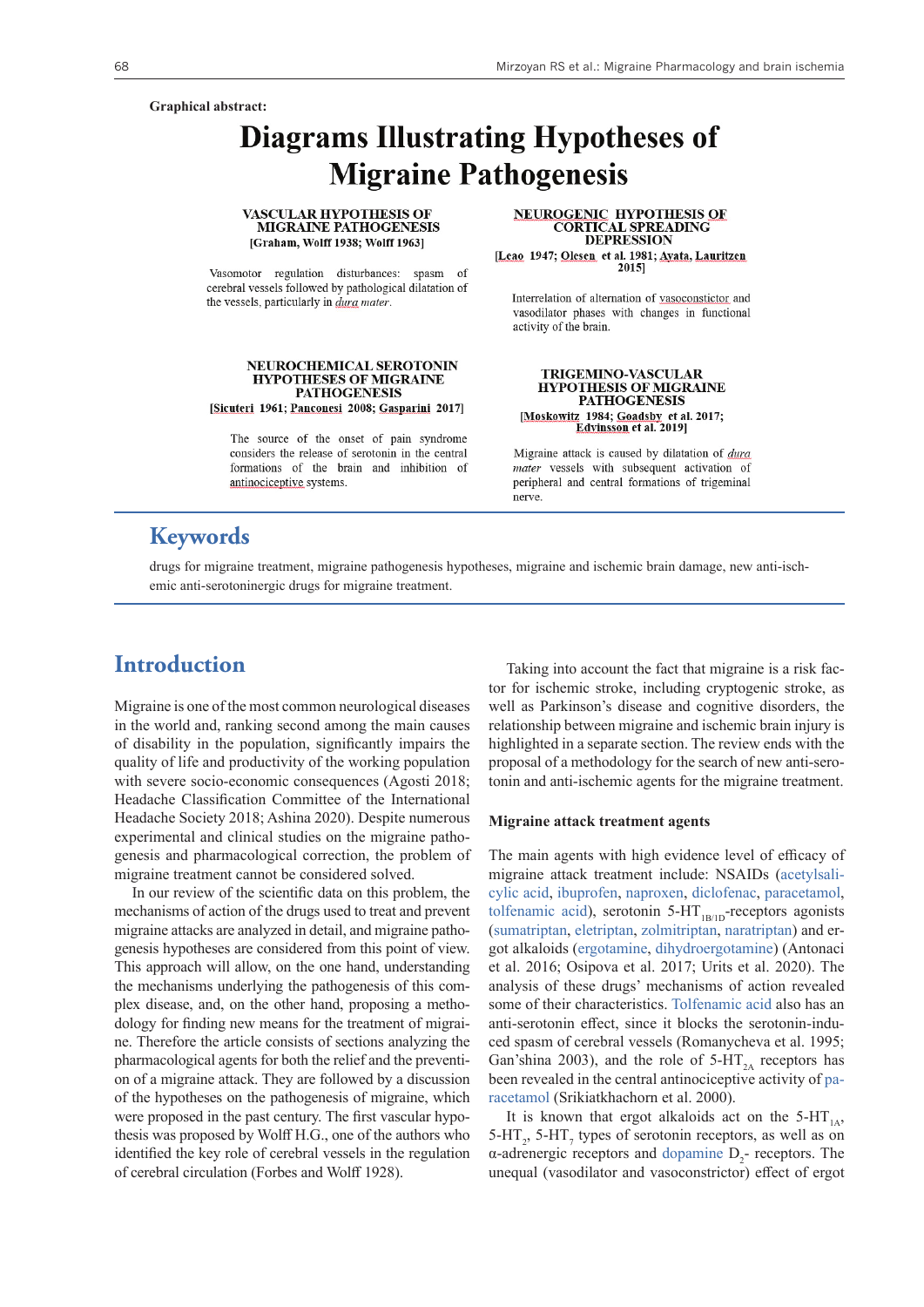#### **Graphical abstract:**

# **Diagrams Illustrating Hypotheses of Migraine Pathogenesis**

#### **VASCULAR HYPOTHESIS OF MIGRAINE PATHOGENESIS** [Graham, Wolff 1938; Wolff 1963]

Vasomotor regulation disturbances: spasm of cerebral vessels followed by pathological dilatation of the vessels, particularly in *dura mater*.

#### NEUROCHEMICAL SEROTONIN **HYPOTHESES OF MIGRAINE PATHOGENESIS**

[Sicuteri 1961; Panconesi 2008; Gasparini 2017]

The source of the onset of pain syndrome considers the release of serotonin in the central formations of the brain and inhibition of antinociceptive systems.

**NEUROGENIC HYPOTHESIS OF CORTICAL SPREADING DEPRESSION** [Leao 1947; Olesen et al. 1981; Avata, Lauritzen 20151

Interrelation of alternation of vasoconstictor and vasodilator phases with changes in functional activity of the brain.

### **TRIGEMINO-VASCULAR HYPOTHESIS OF MIGRAINE PATHOGENESIS** [Moskowitz 1984; Goadsby et al. 2017;<br>Edvinsson et al. 2019]

Migraine attack is caused by dilatation of dura mater vessels with subsequent activation of peripheral and central formations of trigeminal nerve.

## **Keywords**

drugs for migraine treatment, migraine pathogenesis hypotheses, migraine and ischemic brain damage, new anti-ischemic anti-serotoninergic drugs for migraine treatment.

### **Introduction**

Migraine is one of the most common neurological diseases in the world and, ranking second among the main causes of disability in the population, significantly impairs the quality of life and productivity of the working population with severe socio-economic consequences (Agosti 2018; Headache Classification Committee of the International Headache Society 2018; Ashina 2020). Despite numerous experimental and clinical studies on the migraine pathogenesis and pharmacological correction, the problem of migraine treatment cannot be considered solved.

In our review of the scientific data on this problem, the mechanisms of action of the drugs used to treat and prevent migraine attacks are analyzed in detail, and migraine pathogenesis hypotheses are considered from this point of view. This approach will allow, on the one hand, understanding the mechanisms underlying the pathogenesis of this complex disease, and, on the other hand, proposing a methodology for finding new means for the treatment of migraine. Therefore the article consists of sections analyzing the pharmacological agents for both the relief and the prevention of a migraine attack. They are followed by a discussion of the hypotheses on the pathogenesis of migraine, which were proposed in the past century. The first vascular hypothesis was proposed by Wolff H.G., one of the authors who identified the key role of cerebral vessels in the regulation of cerebral circulation (Forbes and Wolff 1928).

Taking into account the fact that migraine is a risk factor for ischemic stroke, including cryptogenic stroke, as well as Parkinson's disease and cognitive disorders, the relationship between migraine and ischemic brain injury is highlighted in a separate section. The review ends with the proposal of a methodology for the search of new anti-serotonin and anti-ischemic agents for the migraine treatment.

#### **Migraine attack treatment agents**

The main agents with high evidence level of efficacy of migraine attack treatment include: NSAIDs [\(acetylsali](https://pubchem.ncbi.nlm.nih.gov/compound/Aspirin)[cylic acid,](https://pubchem.ncbi.nlm.nih.gov/compound/Aspirin) [ibuprofen](https://pubchem.ncbi.nlm.nih.gov/compound/Ibuprofen), [naproxen,](https://pubchem.ncbi.nlm.nih.gov/compound/Naproxen) [diclofenac,](https://pubchem.ncbi.nlm.nih.gov/compound/Diclofenac) [paracetamol,](https://pubchem.ncbi.nlm.nih.gov/compound/Acetaminophen) [tolfenamic acid](https://pubchem.ncbi.nlm.nih.gov/compound/Tolfenamic-acid)), serotonin  $5-HT_{1B/1D}$ -receptors agonists [\(sumatriptan,](https://pubchem.ncbi.nlm.nih.gov/compound/Sumatriptan) [eletriptan](https://pubchem.ncbi.nlm.nih.gov/compound/Eletriptan), [zolmitriptan](https://pubchem.ncbi.nlm.nih.gov/compound/60857), [naratriptan\)](https://pubchem.ncbi.nlm.nih.gov/compound/Naratriptan) and ergot alkaloids [\(ergotamine](https://pubchem.ncbi.nlm.nih.gov/compound/Ergotamine), [dihydroergotamine](https://pubchem.ncbi.nlm.nih.gov/compound/dihydroergotamine)) (Antonaci et al. 2016; Osipova et al. 2017; Urits et al. 2020). The analysis of these drugs' mechanisms of action revealed some of their characteristics. [Tolfenamic acid](https://pubchem.ncbi.nlm.nih.gov/compound/Tolfenamic-acid) also has an anti-serotonin effect, since it blocks the serotonin-induced spasm of cerebral vessels (Romanycheva et al. 1995; Gan'shina 2003), and the role of  $5-HT<sub>2A</sub>$  receptors has been revealed in the central antinociceptive activity of [pa](https://pubchem.ncbi.nlm.nih.gov/compound/Acetaminophen)[racetamol](https://pubchem.ncbi.nlm.nih.gov/compound/Acetaminophen) (Srikiatkhachorn et al. 2000).

It is known that ergot alkaloids act on the  $5-HT_{1A}$ ,  $5-HT_2$ ,  $5-HT_7$  types of serotonin receptors, as well as on  $\alpha$ -adrenergic receptors and [dopamine](https://pubchem.ncbi.nlm.nih.gov/compound/Dopamine)  $D_2$ - receptors. The unequal (vasodilator and vasoconstrictor) effect of ergot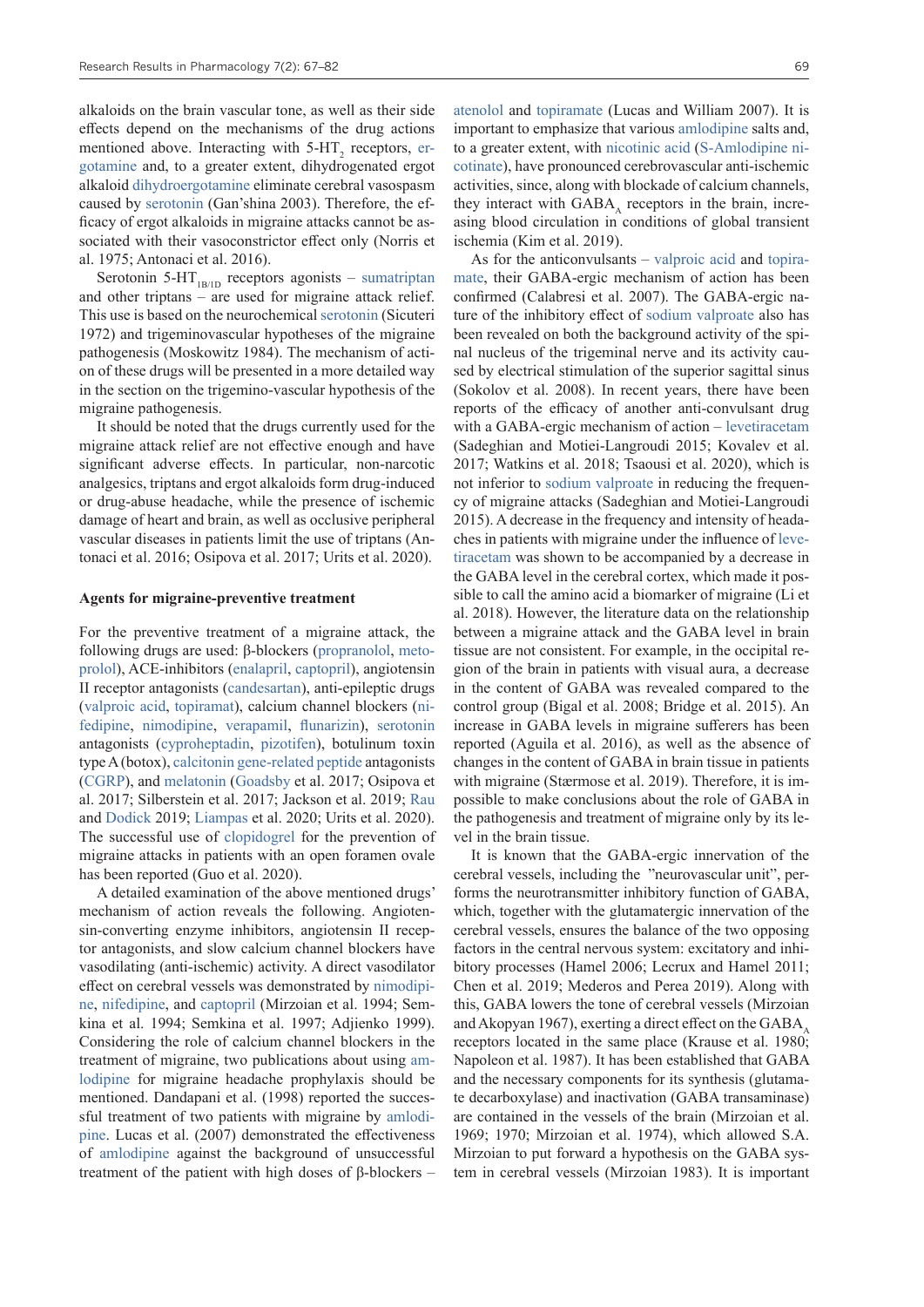alkaloids on the brain vascular tone, as well as their side effects depend on the mechanisms of the drug actions mentioned above. Interacting with  $5-HT_2$  receptors, [er](https://pubchem.ncbi.nlm.nih.gov/compound/Ergotamine)[gotamine](https://pubchem.ncbi.nlm.nih.gov/compound/Ergotamine) and, to a greater extent, dihydrogenated ergot alkaloid [dihydroergotamine](https://pubchem.ncbi.nlm.nih.gov/compound/dihydroergotamine) eliminate cerebral vasospasm caused by [serotonin](https://pubchem.ncbi.nlm.nih.gov/compound/SEROTONIN) (Gan'shina 2003). Therefore, the efficacy of ergot alkaloids in migraine attacks cannot be associated with their vasoconstrictor effect only (Norris et al. 1975; Antonaci et al. 2016).

Serotonin 5-HT<sub>1B/1D</sub> receptors agonists – [sumatriptan](https://pubchem.ncbi.nlm.nih.gov/compound/Sumatriptan) and other triptans – are used for migraine attack relief. This use is based on the neurochemical [serotonin](https://pubchem.ncbi.nlm.nih.gov/compound/SEROTONIN) (Sicuteri 1972) and trigeminovascular hypotheses of the migraine pathogenesis (Moskowitz 1984). The mechanism of action of these drugs will be presented in a more detailed way in the section on the trigemino-vascular hypothesis of the migraine pathogenesis.

It should be noted that the drugs currently used for the migraine attack relief are not effective enough and have significant adverse effects. In particular, non-narcotic analgesics, triptans and ergot alkaloids form drug-induced or drug-abuse headache, while the presence of ischemic damage of heart and brain, as well as occlusive peripheral vascular diseases in patients limit the use of triptans (Antonaci et al. 2016; Osipova et al. 2017; Urits et al. 2020).

#### **Agents for migraine-preventive treatment**

For the preventive treatment of a migraine attack, the following drugs are used: β-blockers ([propranolol,](https://pubchem.ncbi.nlm.nih.gov/compound/Propranolol) [meto](https://pubchem.ncbi.nlm.nih.gov/compound/Metoprolol)[prolol\)](https://pubchem.ncbi.nlm.nih.gov/compound/Metoprolol), ACE-inhibitors [\(enalapril](https://pubchem.ncbi.nlm.nih.gov/compound/Enalapril), [captopril\)](https://pubchem.ncbi.nlm.nih.gov/compound/Captopril), angiotensin II receptor antagonists ([candesartan](https://pubchem.ncbi.nlm.nih.gov/compound/Candesartan)), anti-epileptic drugs [\(valproic acid,](https://pubchem.ncbi.nlm.nih.gov/compound/Valproic-acid) [topiramat\)](https://pubchem.ncbi.nlm.nih.gov/compound/Topiramate), calcium channel blockers [\(ni](https://pubchem.ncbi.nlm.nih.gov/compound/Nifedipine)[fedipine,](https://pubchem.ncbi.nlm.nih.gov/compound/Nifedipine) [nimodipine](https://pubchem.ncbi.nlm.nih.gov/compound/Nimodipine), [verapamil](https://pubchem.ncbi.nlm.nih.gov/compound/Verapamil), [flunarizin](https://pubchem.ncbi.nlm.nih.gov/compound/Flunarizine)), [serotonin](https://pubchem.ncbi.nlm.nih.gov/compound/SEROTONIN) antagonists ([cyproheptadin](https://pubchem.ncbi.nlm.nih.gov/compound/CYPROHEPTADINE), [pizotifen\)](https://pubchem.ncbi.nlm.nih.gov/compound/Pizotifen), botulinum toxin type A (botox), [calcitonin gene-related peptide](https://pubchem.ncbi.nlm.nih.gov/compound/16134896) antagonists [\(CGRP](https://pubchem.ncbi.nlm.nih.gov/compound/16134896)), and [melatonin](https://pubchem.ncbi.nlm.nih.gov/compound/Melatonin) ([Goadsby](https://www.ncbi.nlm.nih.gov/pubmed/?term=Goadsby PJ%5BAuthor%5D&cauthor=true&cauthor_uid=28179394) et al. 2017; Osipova et al. 2017; Silberstein et al. 2017; Jackson et al. 2019; [Rau](https://www.ncbi.nlm.nih.gov/pubmed/?term=Rau JC%5BAuthor%5D&cauthor=true&cauthor_uid=30880363) and [Dodick](https://www.ncbi.nlm.nih.gov/pubmed/?term=Dodick DW%5BAuthor%5D&cauthor=true&cauthor_uid=30880363) 2019; [Liampas](https://pubmed.ncbi.nlm.nih.gov/?term=Liampas+I&cauthor_id=32352572) et al. 2020; Urits et al. 2020). The successful use of [clopidogrel](https://pubchem.ncbi.nlm.nih.gov/compound/Clopidogrel) for the prevention of migraine attacks in patients with an open foramen ovale has been reported (Guo et al. 2020).

A detailed examination of the above mentioned drugs' mechanism of action reveals the following. Angiotensin-converting enzyme inhibitors, angiotensin II receptor antagonists, and slow calcium channel blockers have vasodilating (anti-ischemic) activity. A direct vasodilator effect on cerebral vessels was demonstrated by [nimodipi](https://pubchem.ncbi.nlm.nih.gov/compound/Nimodipine)[ne](https://pubchem.ncbi.nlm.nih.gov/compound/Nimodipine), [nifedipine](https://pubchem.ncbi.nlm.nih.gov/compound/Nifedipine), and [captopril](https://pubchem.ncbi.nlm.nih.gov/compound/Captopril) (Mirzoian et al. 1994; Semkina et al. 1994; Semkina et al. 1997; Adjienko 1999). Considering the role of calcium channel blockers in the treatment of migraine, two publications about using [am](https://pubchem.ncbi.nlm.nih.gov/compound/Amlodipine)[lodipine](https://pubchem.ncbi.nlm.nih.gov/compound/Amlodipine) for migraine headache prophylaxis should be mentioned. Dandapani et al. (1998) reported the successful treatment of two patients with migraine by [amlodi](https://pubchem.ncbi.nlm.nih.gov/compound/Amlodipine)[pine](https://pubchem.ncbi.nlm.nih.gov/compound/Amlodipine). Lucas et al. (2007) demonstrated the effectiveness of [amlodipine](https://pubchem.ncbi.nlm.nih.gov/compound/Amlodipine) against the background of unsuccessful treatment of the patient with high doses of β-blockers – [atenolol](https://pubchem.ncbi.nlm.nih.gov/compound/Atenolol) and [topiramate](https://pubchem.ncbi.nlm.nih.gov/compound/Topiramate) (Lucas and William 2007). It is important to emphasize that various [amlodipine](https://pubchem.ncbi.nlm.nih.gov/compound/Amlodipine) salts and, to a greater extent, with [nicotinic acid](https://pubchem.ncbi.nlm.nih.gov/compound/Nicotinic-acid) [\(S-Amlodipine ni](https://pubchem.ncbi.nlm.nih.gov/patent/US-7579475-B2https:/pubchem.ncbi.nlm.nih.gov/compound/Amlodipine)[cotinate\)](https://pubchem.ncbi.nlm.nih.gov/patent/US-7579475-B2https:/pubchem.ncbi.nlm.nih.gov/compound/Amlodipine), have pronounced cerebrovascular anti-ischemic activities, since, along with blockade of calcium channels, they interact with GABA, receptors in the brain, increasing blood circulation in conditions of global transient ischemia (Kim et al. 2019).

As for the anticonvulsants – [valproic acid](https://pubchem.ncbi.nlm.nih.gov/compound/Valproic-acid) and [topira](https://pubchem.ncbi.nlm.nih.gov/compound/Topiramate)[mate,](https://pubchem.ncbi.nlm.nih.gov/compound/Topiramate) their GABA-ergic mechanism of action has been confirmed (Calabresi et al. 2007). The GABA-ergic nature of the inhibitory effect of [sodium valproate](https://pubchem.ncbi.nlm.nih.gov/compound/Sodium-valproate) also has been revealed on both the background activity of the spinal nucleus of the trigeminal nerve and its activity caused by electrical stimulation of the superior sagittal sinus (Sokolov et al. 2008). In recent years, there have been reports of the efficacy of another anti-convulsant drug with a GABA-ergic mechanism of action – [levetiracetam](https://pubchem.ncbi.nlm.nih.gov/compound/Levetiracetam) (Sadeghian and Motiei-Langroudi 2015; Kovalev et al. 2017; Watkins et al. 2018; Tsaousi et al. 2020), which is not inferior to [sodium valproate](https://pubchem.ncbi.nlm.nih.gov/compound/Sodium-valproate) in reducing the frequency of migraine attacks (Sadeghian and Motiei-Langroudi 2015). A decrease in the frequency and intensity of headaches in patients with migraine under the influence of [leve](https://pubchem.ncbi.nlm.nih.gov/compound/Levetiracetam)[tiracetam](https://pubchem.ncbi.nlm.nih.gov/compound/Levetiracetam) was shown to be accompanied by a decrease in the GABA level in the cerebral cortex, which made it possible to call the amino acid a biomarker of migraine (Li et al. 2018). However, the literature data on the relationship between a migraine attack and the GABA level in brain tissue are not consistent. For example, in the occipital region of the brain in patients with visual aura, a decrease in the content of GABA was revealed compared to the control group (Bigal et al. 2008; Bridge et al. 2015). An increase in GABA levels in migraine sufferers has been reported (Aguila et al. 2016), as well as the absence of changes in the content of GABA in brain tissue in patients with migraine (Stærmose et al. 2019). Therefore, it is impossible to make conclusions about the role of GABA in the pathogenesis and treatment of migraine only by its level in the brain tissue.

It is known that the GABA-ergic innervation of the cerebral vessels, including the "neurovascular unit", performs the neurotransmitter inhibitory function of GABA, which, together with the glutamatergic innervation of the cerebral vessels, ensures the balance of the two opposing factors in the central nervous system: excitatory and inhibitory processes (Hamel 2006; Lecrux and Hamel 2011; Chen et al. 2019; Mederos and Perea 2019). Along with this, GABA lowers the tone of cerebral vessels (Mirzoian and Akopyan 1967), exerting a direct effect on the GABA $_{\alpha}$ receptors located in the same place (Krause et al. 1980; Napoleon et al. 1987). It has been established that GABA and the necessary components for its synthesis (glutamate decarboxylase) and inactivation (GABA transaminase) are contained in the vessels of the brain (Mirzoian et al. 1969; 1970; Mirzoian et al. 1974), which allowed S.A. Mirzoian to put forward a hypothesis on the GABA system in cerebral vessels (Mirzoian 1983). It is important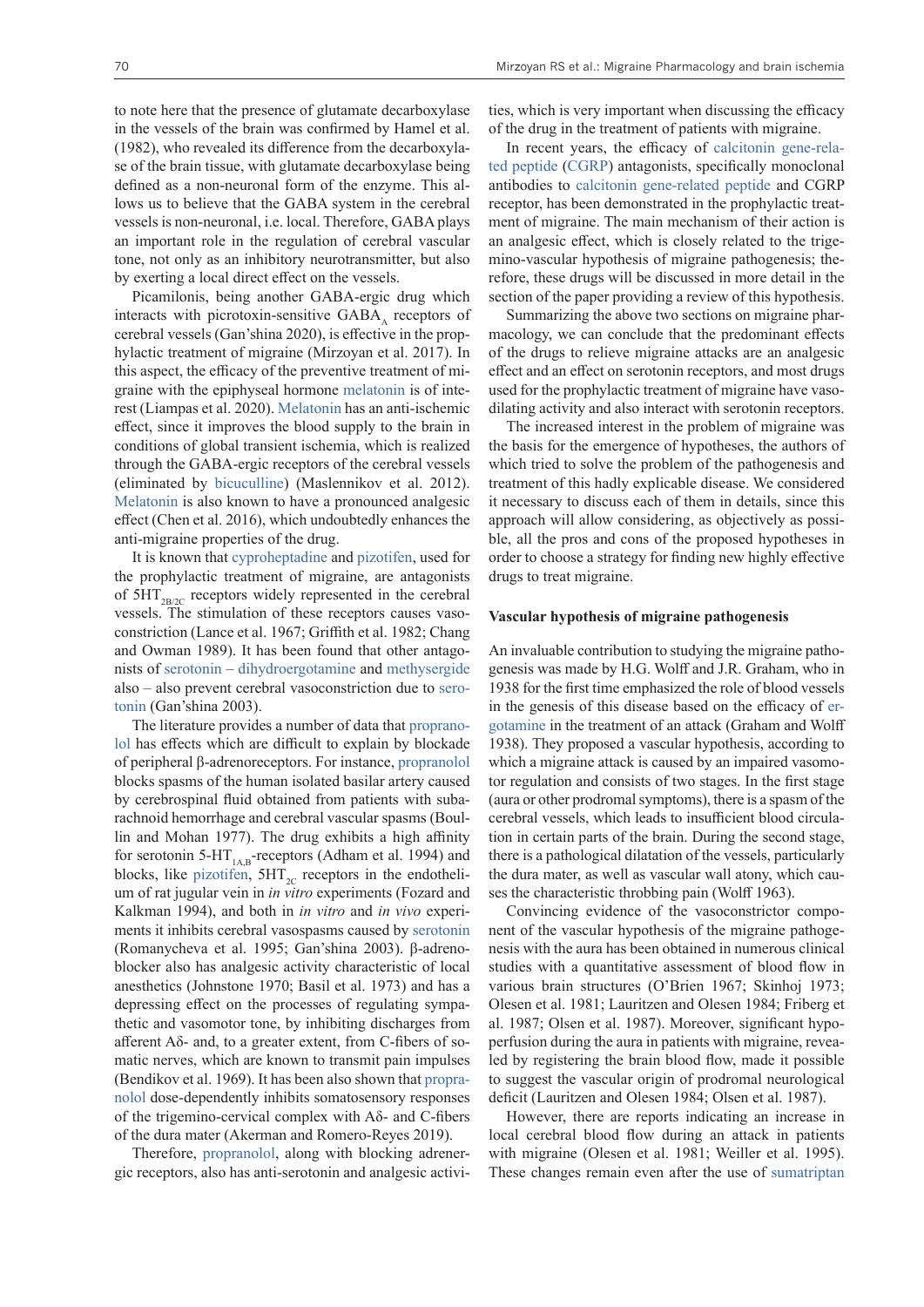to note here that the presence of glutamate decarboxylase in the vessels of the brain was confirmed by Hamel et al. (1982), who revealed its difference from the decarboxylase of the brain tissue, with glutamate decarboxylase being defined as a non-neuronal form of the enzyme. This allows us to believe that the GABA system in the cerebral vessels is non-neuronal, i.e. local. Therefore, GABA plays an important role in the regulation of cerebral vascular tone, not only as an inhibitory neurotransmitter, but also by exerting a local direct effect on the vessels.

Picamilonis, being another GABA-ergic drug which interacts with picrotoxin-sensitive  $GABA$ <sub> $\lambda$ </sub> receptors of cerebral vessels (Gan'shina 2020), is effective in the prophylactic treatment of migraine (Mirzoyan et al. 2017). In this aspect, the efficacy of the preventive treatment of migraine with the epiphyseal hormone [melatonin](https://pubchem.ncbi.nlm.nih.gov/compound/Melatonin) is of interest (Liampas et al. 2020). [Melatonin](https://pubchem.ncbi.nlm.nih.gov/compound/Melatonin) has an anti-ischemic effect, since it improves the blood supply to the brain in conditions of global transient ischemia, which is realized through the GABA-ergic receptors of the cerebral vessels (eliminated by [bicuculline\)](https://pubchem.ncbi.nlm.nih.gov/compound/Bicuculline) (Maslennikov et al. 2012). [Melatonin](https://pubchem.ncbi.nlm.nih.gov/compound/Melatonin) is also known to have a pronounced analgesic effect (Chen et al. 2016), which undoubtedly enhances the anti-migraine properties of the drug.

It is known that [cyproheptadine](https://pubchem.ncbi.nlm.nih.gov/compound/CYPROHEPTADINE) and [pizotifen,](https://pubchem.ncbi.nlm.nih.gov/compound/Pizotifen) used for the prophylactic treatment of migraine, are antagonists of  $5HT_{2B/2C}$  receptors widely represented in the cerebral vessels. The stimulation of these receptors causes vasoconstriction (Lance et al. 1967; Griffith et al. 1982; Chang and Owman 1989). It has been found that other antagonists of [serotonin](https://pubchem.ncbi.nlm.nih.gov/compound/SEROTONIN) – [dihydroergotamine](https://pubchem.ncbi.nlm.nih.gov/compound/dihydroergotamine) and [methysergide](https://pubchem.ncbi.nlm.nih.gov/compound/Methysergide) also – also prevent cerebral vasoconstriction due to [sero](https://pubchem.ncbi.nlm.nih.gov/compound/SEROTONIN)[tonin](https://pubchem.ncbi.nlm.nih.gov/compound/SEROTONIN) (Gan'shina 2003).

The literature provides a number of data that [proprano](https://pubchem.ncbi.nlm.nih.gov/compound/Propranolol)[lol](https://pubchem.ncbi.nlm.nih.gov/compound/Propranolol) has effects which are difficult to explain by blockade of peripheral β-adrenoreceptors. For instance, [propranolol](https://pubchem.ncbi.nlm.nih.gov/compound/Propranolol) blocks spasms of the human isolated basilar artery caused by cerebrospinal fluid obtained from patients with subarachnoid hemorrhage and cerebral vascular spasms (Boullin and Mohan 1977). The drug exhibits a high affinity for serotonin 5-HT<sub>1AB</sub>-receptors (Adham et al. 1994) and blocks, like pizotifien,  $5HT_{2C}$  receptors in the endothelium of rat jugular vein in *in vitro* experiments (Fozard and Kalkman 1994), and both in *in vitro* and *in vivo* experiments it inhibits cerebral vasospasms caused by [serotonin](https://pubchem.ncbi.nlm.nih.gov/compound/SEROTONIN) (Romanycheva et al. 1995; Gan'shina 2003). β-adrenoblocker also has analgesic activity characteristic of local anesthetics (Johnstone 1970; Basil et al. 1973) and has a depressing effect on the processes of regulating sympathetic and vasomotor tone, by inhibiting discharges from afferent Aδ- and, to a greater extent, from C-fibers of somatic nerves, which are known to transmit pain impulses (Bendikov et al. 1969). It has been also shown that [propra](https://pubchem.ncbi.nlm.nih.gov/compound/Propranolol)[nolol](https://pubchem.ncbi.nlm.nih.gov/compound/Propranolol) dose-dependently inhibits somatosensory responses of the trigemino-cervical complex with Aδ- and C-fibers of the dura mater (Akerman and Romero-Reyes 2019).

Therefore, [propranolol](https://pubchem.ncbi.nlm.nih.gov/compound/Propranolol), along with blocking adrenergic receptors, also has anti-serotonin and analgesic activi-

ties, which is very important when discussing the efficacy of the drug in the treatment of patients with migraine.

In recent years, the efficacy of [calcitonin gene-rela](https://pubchem.ncbi.nlm.nih.gov/compound/16134896)[ted peptide](https://pubchem.ncbi.nlm.nih.gov/compound/16134896) ([CGRP](https://pubchem.ncbi.nlm.nih.gov/compound/16134896)) antagonists, specifically monoclonal antibodies to [calcitonin gene-related peptide](https://pubchem.ncbi.nlm.nih.gov/compound/16134896) and CGRP receptor, has been demonstrated in the prophylactic treatment of migraine. The main mechanism of their action is an analgesic effect, which is closely related to the trigemino-vascular hypothesis of migraine pathogenesis; therefore, these drugs will be discussed in more detail in the section of the paper providing a review of this hypothesis.

Summarizing the above two sections on migraine pharmacology, we can conclude that the predominant effects of the drugs to relieve migraine attacks are an analgesic effect and an effect on serotonin receptors, and most drugs used for the prophylactic treatment of migraine have vasodilating activity and also interact with serotonin receptors.

The increased interest in the problem of migraine was the basis for the emergence of hypotheses, the authors of which tried to solve the problem of the pathogenesis and treatment of this hadly explicable disease. We considered it necessary to discuss each of them in details, since this approach will allow considering, as objectively as possible, all the pros and cons of the proposed hypotheses in order to choose a strategy for finding new highly effective drugs to treat migraine.

#### **Vascular hypothesis of migraine pathogenesis**

An invaluable contribution to studying the migraine pathogenesis was made by H.G. Wolff and J.R. Graham, who in 1938 for the first time emphasized the role of blood vessels in the genesis of this disease based on the efficacy of [er](https://pubchem.ncbi.nlm.nih.gov/compound/Ergotamine)[gotamine](https://pubchem.ncbi.nlm.nih.gov/compound/Ergotamine) in the treatment of an attack (Graham and Wolff 1938). They proposed a vascular hypothesis, according to which a migraine attack is caused by an impaired vasomotor regulation and consists of two stages. In the first stage (aura or other prodromal symptoms), there is a spasm of the cerebral vessels, which leads to insufficient blood circulation in certain parts of the brain. During the second stage, there is a pathological dilatation of the vessels, particularly the dura mater, as well as vascular wall atony, which causes the characteristic throbbing pain (Wolff 1963).

Convincing evidence of the vasoconstrictor component of the vascular hypothesis of the migraine pathogenesis with the aura has been obtained in numerous clinical studies with a quantitative assessment of blood flow in various brain structures (O'Brien 1967; Skinhoj 1973; Olesen et al. 1981; Lauritzen and Olesen 1984; Friberg et al. 1987; Olsen et al. 1987). Moreover, significant hypoperfusion during the aura in patients with migraine, revealed by registering the brain blood flow, made it possible to suggest the vascular origin of prodromal neurological deficit (Lauritzen and Olesen 1984; Olsen et al. 1987).

However, there are reports indicating an increase in local cerebral blood flow during an attack in patients with migraine (Olesen et al. 1981; Weiller et al. 1995). These changes remain even after the use of [sumatriptan](https://pubchem.ncbi.nlm.nih.gov/compound/Sumatriptan)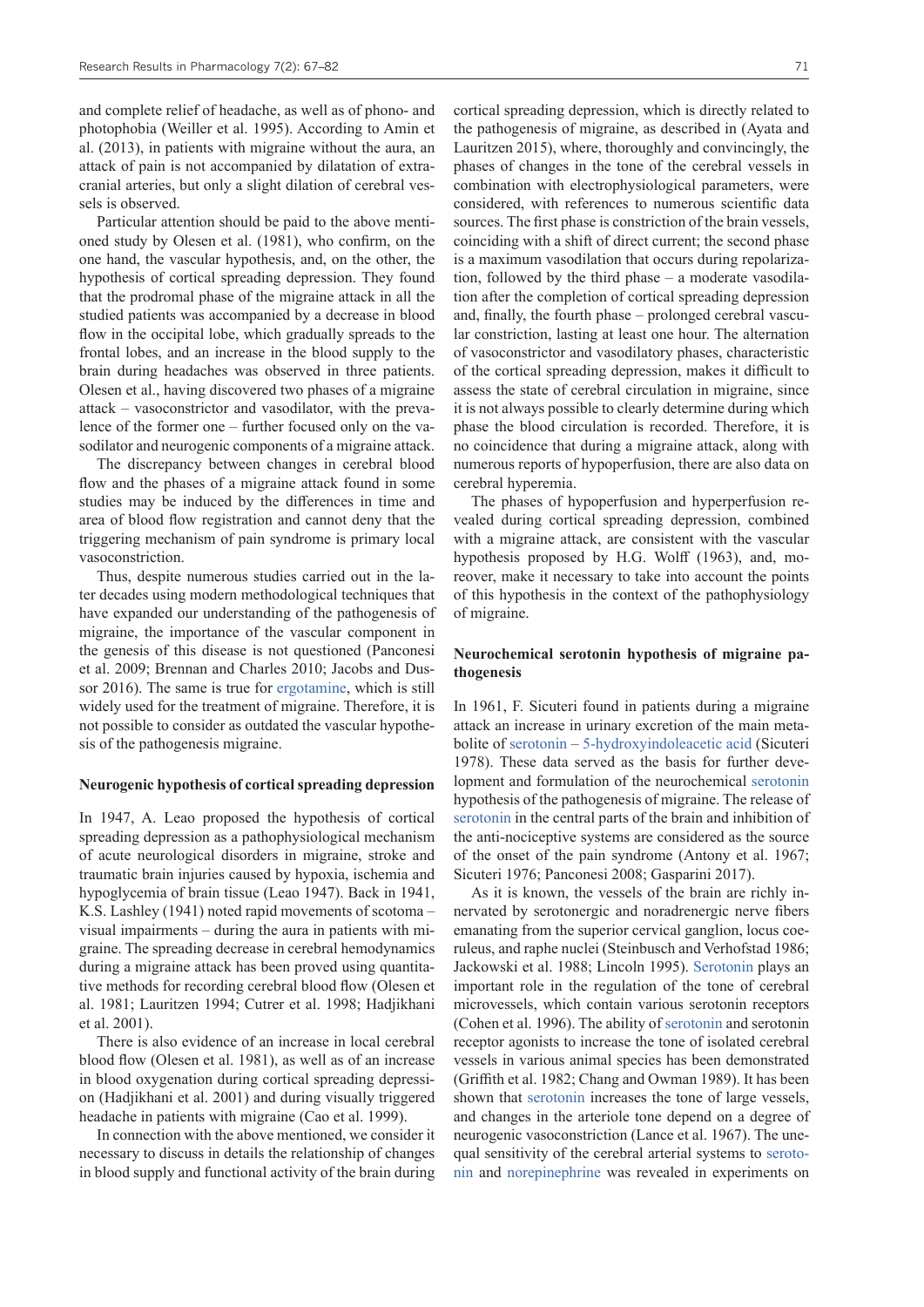and complete relief of headache, as well as of phono- and photophobia (Weiller et al. 1995). According to Amin et al. (2013), in patients with migraine without the aura, an attack of pain is not accompanied by dilatation of extracranial arteries, but only a slight dilation of cerebral vessels is observed.

Particular attention should be paid to the above mentioned study by Olesen et al. (1981), who confirm, on the one hand, the vascular hypothesis, and, on the other, the hypothesis of cortical spreading depression. They found that the prodromal phase of the migraine attack in all the studied patients was accompanied by a decrease in blood flow in the occipital lobe, which gradually spreads to the frontal lobes, and an increase in the blood supply to the brain during headaches was observed in three patients. Olesen et al., having discovered two phases of a migraine attack – vasoconstrictor and vasodilator, with the prevalence of the former one – further focused only on the vasodilator and neurogenic components of a migraine attack.

The discrepancy between changes in cerebral blood flow and the phases of a migraine attack found in some studies may be induced by the differences in time and area of blood flow registration and cannot deny that the triggering mechanism of pain syndrome is primary local vasoconstriction.

Thus, despite numerous studies carried out in the later decades using modern methodological techniques that have expanded our understanding of the pathogenesis of migraine, the importance of the vascular component in the genesis of this disease is not questioned (Panconesi et al. 2009; Brennan and Charles 2010; Jacobs and Dussor 2016). The same is true for [ergotamine](https://pubchem.ncbi.nlm.nih.gov/compound/Ergotamine), which is still widely used for the treatment of migraine. Therefore, it is not possible to consider as outdated the vascular hypothesis of the pathogenesis migraine.

#### **Neurogenic hypothesis of cortical spreading depression**

In 1947, A. Leao proposed the hypothesis of cortical spreading depression as a pathophysiological mechanism of acute neurological disorders in migraine, stroke and traumatic brain injuries caused by hypoxia, ischemia and hypoglycemia of brain tissue (Leao 1947). Back in 1941, K.S. Lashley (1941) noted rapid movements of scotoma – visual impairments – during the aura in patients with migraine. The spreading decrease in cerebral hemodynamics during a migraine attack has been proved using quantitative methods for recording cerebral blood flow (Olesen et al. 1981; Lauritzen 1994; Cutrer et al. 1998; Hadjikhani et al. 2001).

There is also evidence of an increase in local cerebral blood flow (Olesen et al. 1981), as well as of an increase in blood oxygenation during cortical spreading depression (Hadjikhani et al. 2001) and during visually triggered headache in patients with migraine (Cao et al. 1999).

In connection with the above mentioned, we consider it necessary to discuss in details the relationship of changes in blood supply and functional activity of the brain during cortical spreading depression, which is directly related to the pathogenesis of migraine, as described in (Ayata and Lauritzen 2015), where, thoroughly and convincingly, the phases of changes in the tone of the cerebral vessels in combination with electrophysiological parameters, were considered, with references to numerous scientific data sources. The first phase is constriction of the brain vessels, coinciding with a shift of direct current; the second phase is a maximum vasodilation that occurs during repolarization, followed by the third phase – a moderate vasodilation after the completion of cortical spreading depression and, finally, the fourth phase – prolonged cerebral vascular constriction, lasting at least one hour. The alternation of vasoconstrictor and vasodilatory phases, characteristic of the cortical spreading depression, makes it difficult to assess the state of cerebral circulation in migraine, since it is not always possible to clearly determine during which phase the blood circulation is recorded. Therefore, it is no coincidence that during a migraine attack, along with numerous reports of hypoperfusion, there are also data on cerebral hyperemia.

The phases of hypoperfusion and hyperperfusion revealed during cortical spreading depression, combined with a migraine attack, are consistent with the vascular hypothesis proposed by H.G. Wolff (1963), and, moreover, make it necessary to take into account the points of this hypothesis in the context of the pathophysiology of migraine.

### **Neurochemical serotonin hypothesis of migraine pathogenesis**

In 1961, F. Sicuteri found in patients during a migraine attack an increase in urinary excretion of the main metabolite of [serotonin](https://pubchem.ncbi.nlm.nih.gov/compound/SEROTONIN) – [5-hydroxyindoleacetic acid](https://pubchem.ncbi.nlm.nih.gov/compound/5-Hydroxy-5-hydroxyindoleacetic-acid) (Sicuteri 1978). These data served as the basis for further development and formulation of the neurochemical [serotonin](https://pubchem.ncbi.nlm.nih.gov/compound/SEROTONIN) hypothesis of the pathogenesis of migraine. The release of [serotonin](https://pubchem.ncbi.nlm.nih.gov/compound/SEROTONIN) in the central parts of the brain and inhibition of the anti-nociceptive systems are considered as the source of the onset of the pain syndrome (Antony et al. 1967; Sicuteri 1976; Panconesi 2008; Gasparini 2017).

As it is known, the vessels of the brain are richly innervated by serotonergic and noradrenergic nerve fibers emanating from the superior cervical ganglion, locus coeruleus, and raphe nuclei (Steinbusch and Verhofstad 1986; Jackowski et al. 1988; Lincoln 1995). [Serotonin](https://pubchem.ncbi.nlm.nih.gov/compound/SEROTONIN) plays an important role in the regulation of the tone of cerebral microvessels, which contain various serotonin receptors (Cohen et al. 1996). The ability of [serotonin](https://pubchem.ncbi.nlm.nih.gov/compound/SEROTONIN) and serotonin receptor agonists to increase the tone of isolated cerebral vessels in various animal species has been demonstrated (Griffith et al. 1982; Chang and Owman 1989). It has been shown that [serotonin](https://pubchem.ncbi.nlm.nih.gov/compound/SEROTONIN) increases the tone of large vessels, and changes in the arteriole tone depend on a degree of neurogenic vasoconstriction (Lance et al. 1967). The unequal sensitivity of the cerebral arterial systems to [seroto](https://pubchem.ncbi.nlm.nih.gov/compound/SEROTONIN)[nin](https://pubchem.ncbi.nlm.nih.gov/compound/SEROTONIN) and [norepinephrine](https://pubchem.ncbi.nlm.nih.gov/compound/Norepinephrine) was revealed in experiments on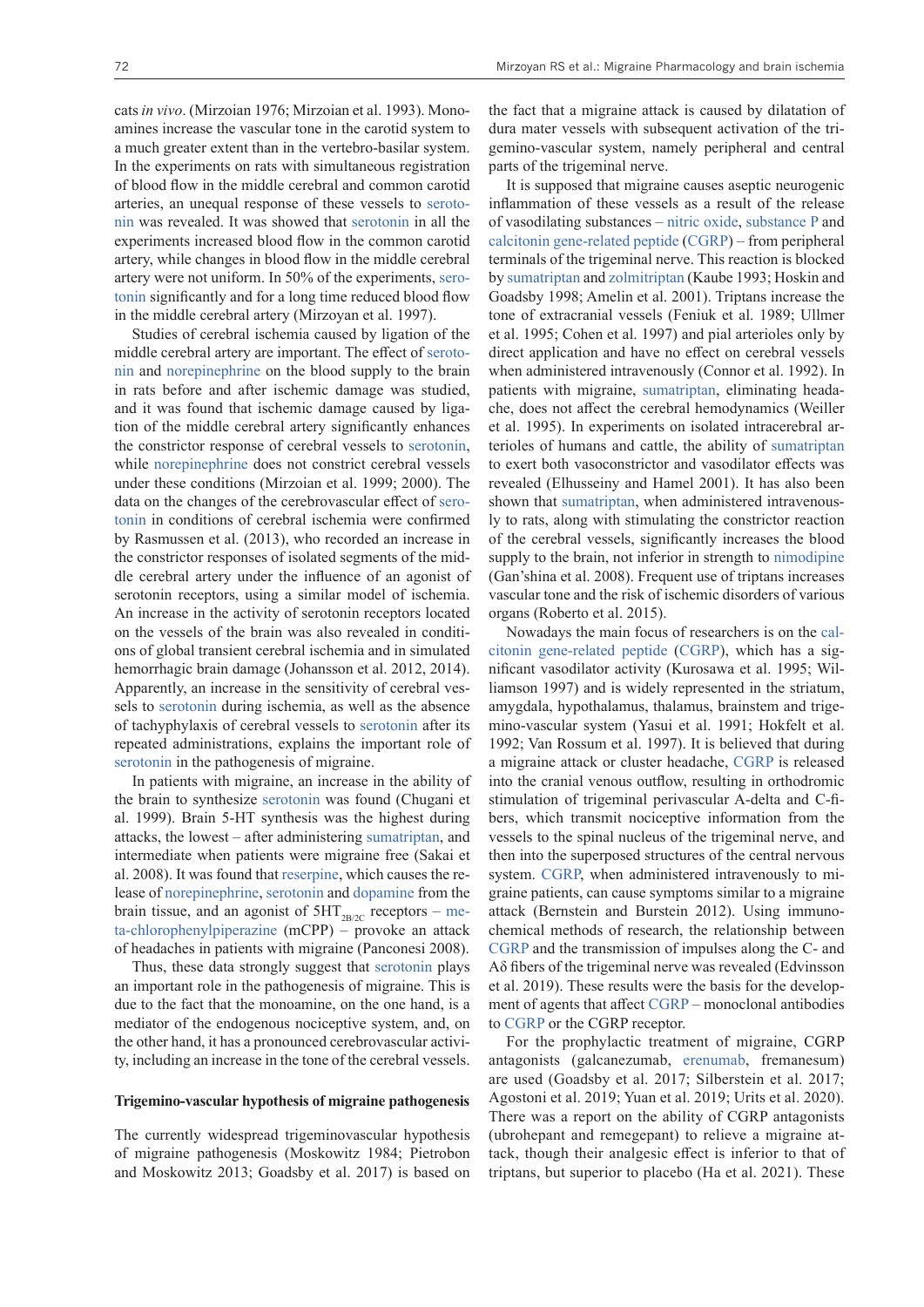cats *in vivo*. (Mirzoian 1976; Mirzoian et al. 1993). Monoamines increase the vascular tone in the carotid system to a much greater extent than in the vertebro-basilar system. In the experiments on rats with simultaneous registration of blood flow in the middle cerebral and common carotid arteries, an unequal response of these vessels to [seroto](https://pubchem.ncbi.nlm.nih.gov/compound/SEROTONIN)[nin](https://pubchem.ncbi.nlm.nih.gov/compound/SEROTONIN) was revealed. It was showed that [serotonin](https://pubchem.ncbi.nlm.nih.gov/compound/SEROTONIN) in all the experiments increased blood flow in the common carotid artery, while changes in blood flow in the middle cerebral artery were not uniform. In 50% of the experiments, [sero](https://pubchem.ncbi.nlm.nih.gov/compound/SEROTONIN)[tonin](https://pubchem.ncbi.nlm.nih.gov/compound/SEROTONIN) significantly and for a long time reduced blood flow in the middle cerebral artery (Mirzoyan et al. 1997).

Studies of cerebral ischemia caused by ligation of the middle cerebral artery are important. The effect of [seroto](https://pubchem.ncbi.nlm.nih.gov/compound/SEROTONIN)[nin](https://pubchem.ncbi.nlm.nih.gov/compound/SEROTONIN) and [norepinephrine](https://pubchem.ncbi.nlm.nih.gov/compound/Norepinephrine) on the blood supply to the brain in rats before and after ischemic damage was studied, and it was found that ischemic damage caused by ligation of the middle cerebral artery significantly enhances the constrictor response of cerebral vessels to [serotonin](https://pubchem.ncbi.nlm.nih.gov/compound/SEROTONIN), while [norepinephrine](https://pubchem.ncbi.nlm.nih.gov/compound/Norepinephrine) does not constrict cerebral vessels under these conditions (Mirzoian et al. 1999; 2000). The data on the changes of the cerebrovascular effect of [sero](https://pubchem.ncbi.nlm.nih.gov/compound/SEROTONIN)[tonin](https://pubchem.ncbi.nlm.nih.gov/compound/SEROTONIN) in conditions of cerebral ischemia were confirmed by Rasmussen et al. (2013), who recorded an increase in the constrictor responses of isolated segments of the middle cerebral artery under the influence of an agonist of serotonin receptors, using a similar model of ischemia. An increase in the activity of serotonin receptors located on the vessels of the brain was also revealed in conditions of global transient cerebral ischemia and in simulated hemorrhagic brain damage (Johansson et al. 2012, 2014). Apparently, an increase in the sensitivity of cerebral vessels to [serotonin](https://pubchem.ncbi.nlm.nih.gov/compound/SEROTONIN) during ischemia, as well as the absence of tachyphylaxis of cerebral vessels to [serotonin](https://pubchem.ncbi.nlm.nih.gov/compound/SEROTONIN) after its repeated administrations, explains the important role of [serotonin](https://pubchem.ncbi.nlm.nih.gov/compound/SEROTONIN) in the pathogenesis of migraine.

In patients with migraine, an increase in the ability of the brain to synthesize [serotonin](https://pubchem.ncbi.nlm.nih.gov/compound/SEROTONIN) was found (Chugani et al. 1999). Brain 5-HT synthesis was the highest during attacks, the lowest – after administering [sumatriptan](https://pubchem.ncbi.nlm.nih.gov/compound/Sumatriptan), and intermediate when patients were migraine free (Sakai et al. 2008). It was found that [reserpine](https://pubchem.ncbi.nlm.nih.gov/compound/reserpine), which causes the release of [norepinephrine,](https://pubchem.ncbi.nlm.nih.gov/compound/Norepinephrine) [serotonin](https://pubchem.ncbi.nlm.nih.gov/compound/SEROTONIN) and [dopamine](https://pubchem.ncbi.nlm.nih.gov/compound/Dopamine) from the brain tissue, and an agonist of  $5HT<sub>2B/2C</sub>$  receptors – [me](https://pubchem.ncbi.nlm.nih.gov/compound/p-Hydroxy-meta-chlorophenylpiperazine)[ta-chlorophenylpiperazine](https://pubchem.ncbi.nlm.nih.gov/compound/p-Hydroxy-meta-chlorophenylpiperazine) (mCPP) – provoke an attack of headaches in patients with migraine (Panconesi 2008).

Thus, these data strongly suggest that [serotonin](https://pubchem.ncbi.nlm.nih.gov/compound/SEROTONIN) plays an important role in the pathogenesis of migraine. This is due to the fact that the monoamine, on the one hand, is a mediator of the endogenous nociceptive system, and, on the other hand, it has a pronounced cerebrovascular activity, including an increase in the tone of the cerebral vessels.

#### **Trigemino-vascular hypothesis of migraine pathogenesis**

The currently widespread trigeminovascular hypothesis of migraine pathogenesis (Moskowitz 1984; Pietrobon and Moskowitz 2013; Goadsby et al. 2017) is based on

the fact that a migraine attack is caused by dilatation of dura mater vessels with subsequent activation of the trigemino-vascular system, namely peripheral and central parts of the trigeminal nerve.

It is supposed that migraine causes aseptic neurogenic inflammation of these vessels as a result of the release of vasodilating substances – [nitric oxide,](https://pubchem.ncbi.nlm.nih.gov/compound/Nitric-oxide) [substance P](https://pubchem.ncbi.nlm.nih.gov/compound/Substance-P) and [calcitonin gene-related peptide \(CGRP](https://pubchem.ncbi.nlm.nih.gov/compound/16134896)) – from peripheral terminals of the trigeminal nerve. This reaction is blocked by [sumatriptan](https://pubchem.ncbi.nlm.nih.gov/compound/Sumatriptan) and [zolmitriptan](https://pubchem.ncbi.nlm.nih.gov/compound/60857) (Kaube 1993; Hoskin and Goadsby 1998; Amelin et al. 2001). Triptans increase the tone of extracranial vessels (Feniuk et al. 1989; Ullmer et al. 1995; Cohen et al. 1997) and pial arterioles only by direct application and have no effect on cerebral vessels when administered intravenously (Connor et al. 1992). In patients with migraine, [sumatriptan](https://pubchem.ncbi.nlm.nih.gov/compound/Sumatriptan), eliminating headache, does not affect the cerebral hemodynamics (Weiller et al. 1995). In experiments on isolated intracerebral arterioles of humans and cattle, the ability of [sumatriptan](https://pubchem.ncbi.nlm.nih.gov/compound/Sumatriptan) to exert both vasoconstrictor and vasodilator effects was revealed (Elhusseiny and Hamel 2001). It has also been shown that [sumatriptan](https://pubchem.ncbi.nlm.nih.gov/compound/Sumatriptan), when administered intravenously to rats, along with stimulating the constrictor reaction of the cerebral vessels, significantly increases the blood supply to the brain, not inferior in strength to [nimodipine](https://pubchem.ncbi.nlm.nih.gov/compound/Nimodipine) (Gan'shina et al. 2008). Frequent use of triptans increases vascular tone and the risk of ischemic disorders of various organs (Roberto et al. 2015).

Nowadays the main focus of researchers is on the [cal](https://pubchem.ncbi.nlm.nih.gov/compound/16134896)[citonin gene-related peptide](https://pubchem.ncbi.nlm.nih.gov/compound/16134896) ([CGRP\)](https://pubchem.ncbi.nlm.nih.gov/compound/16134896), which has a significant vasodilator activity (Kurosawa et al. 1995; Williamson 1997) and is widely represented in the striatum, amygdala, hypothalamus, thalamus, brainstem and trigemino-vascular system (Yasui et al. 1991; Hokfelt et al. 1992; Van Rossum et al. 1997). It is believed that during a migraine attack or cluster headache, [CGRP](https://pubchem.ncbi.nlm.nih.gov/compound/16134896) is released into the cranial venous outflow, resulting in orthodromic stimulation of trigeminal perivascular A-delta and C-fibers, which transmit nociceptive information from the vessels to the spinal nucleus of the trigeminal nerve, and then into the superposed structures of the central nervous system. [CGRP,](https://pubchem.ncbi.nlm.nih.gov/compound/16134896) when administered intravenously to migraine patients, can cause symptoms similar to a migraine attack (Bernstein and Burstein 2012). Using immunochemical methods of research, the relationship between [CGRP](https://pubchem.ncbi.nlm.nih.gov/compound/16134896) and the transmission of impulses along the C- and Aδ fibers of the trigeminal nerve was revealed (Edvinsson et al. 2019). These results were the basis for the development of agents that affect [CGRP](https://pubchem.ncbi.nlm.nih.gov/compound/16134896) – monoclonal antibodies to [CGRP](https://pubchem.ncbi.nlm.nih.gov/compound/16134896) or the CGRP receptor.

For the prophylactic treatment of migraine, CGRP antagonists (galcanezumab, [erenumab,](https://pubchem.ncbi.nlm.nih.gov/patent/NO-2018042-I1) fremanesum) are used (Goadsby et al. 2017; Silberstein et al. 2017; Agostoni et al. 2019; Yuan et al. 2019; Urits et al. 2020). There was a report on the ability of CGRP antagonists (ubrohepant and remegepant) to relieve a migraine attack, though their analgesic effect is inferior to that of triptans, but superior to placebo (Ha et al. 2021). These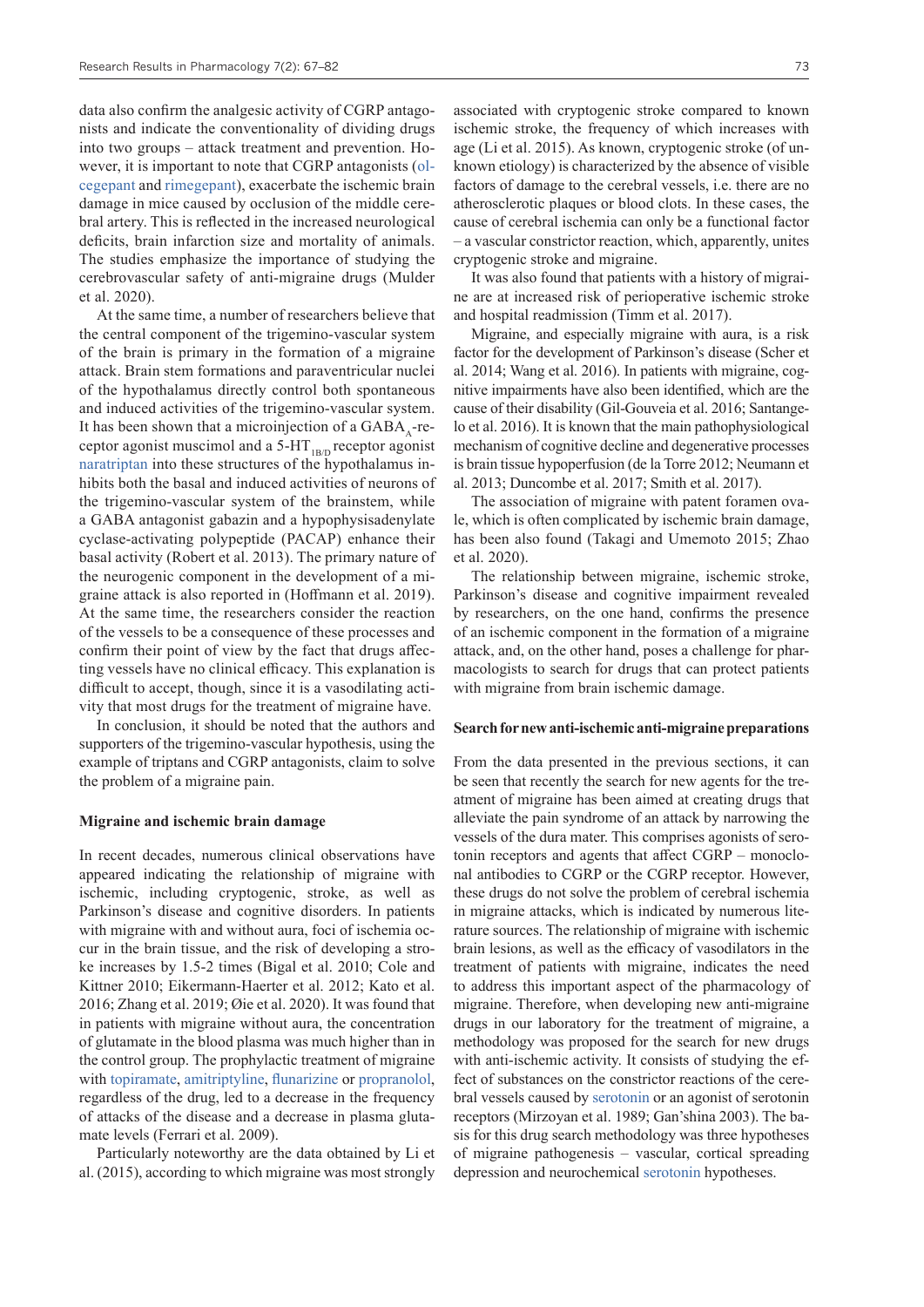data also confirm the analgesic activity of CGRP antagonists and indicate the conventionality of dividing drugs into two groups – attack treatment and prevention. However, it is important to note that CGRP antagonists ([ol](https://pubchem.ncbi.nlm.nih.gov/compound/Olcegepant)[cegepant](https://pubchem.ncbi.nlm.nih.gov/compound/Olcegepant) and [rimegepant](https://pubchem.ncbi.nlm.nih.gov/compound/Rimegepant)), exacerbate the ischemic brain damage in mice caused by occlusion of the middle cerebral artery. This is reflected in the increased neurological deficits, brain infarction size and mortality of animals. The studies emphasize the importance of studying the cerebrovascular safety of anti-migraine drugs (Mulder et al. 2020).

At the same time, a number of researchers believe that the central component of the trigemino-vascular system of the brain is primary in the formation of a migraine attack. Brain stem formations and paraventricular nuclei of the hypothalamus directly control both spontaneous and induced activities of the trigemino-vascular system. It has been shown that a microinjection of a  $GABA<sub>1</sub>$ -receptor agonist muscimol and a  $5-HT_{1BD}$  receptor agonist [naratriptan](https://pubchem.ncbi.nlm.nih.gov/compound/Naratriptan) into these structures of the hypothalamus inhibits both the basal and induced activities of neurons of the trigemino-vascular system of the brainstem, while a GABA antagonist gabazin and a hypophysisadenylate cyclase-activating polypeptide (PACAP) enhance their basal activity (Robert et al. 2013). The primary nature of the neurogenic component in the development of a migraine attack is also reported in (Hoffmann et al. 2019). At the same time, the researchers consider the reaction of the vessels to be a consequence of these processes and confirm their point of view by the fact that drugs affecting vessels have no clinical efficacy. This explanation is difficult to accept, though, since it is a vasodilating activity that most drugs for the treatment of migraine have.

In conclusion, it should be noted that the authors and supporters of the trigemino-vascular hypothesis, using the example of triptans and CGRP antagonists, claim to solve the problem of a migraine pain.

#### **Migraine and ischemic brain damage**

In recent decades, numerous clinical observations have appeared indicating the relationship of migraine with ischemic, including cryptogenic, stroke, as well as Parkinson's disease and cognitive disorders. In patients with migraine with and without aura, foci of ischemia occur in the brain tissue, and the risk of developing a stroke increases by 1.5-2 times (Bigal et al. 2010; Cole and Kittner 2010; Eikermann-Haerter et al. 2012; Kato et al. 2016; Zhang et al. 2019; Øie et al. 2020). It was found that in patients with migraine without aura, the concentration of glutamate in the blood plasma was much higher than in the control group. The prophylactic treatment of migraine with [topiramate,](https://pubchem.ncbi.nlm.nih.gov/compound/Topiramate) [amitriptyline](https://pubchem.ncbi.nlm.nih.gov/compound/Amitriptyline), [flunarizine](https://pubchem.ncbi.nlm.nih.gov/compound/Flunarizine) or [propranolol,](https://pubchem.ncbi.nlm.nih.gov/compound/Propranolol) regardless of the drug, led to a decrease in the frequency of attacks of the disease and a decrease in plasma glutamate levels (Ferrari et al. 2009).

Particularly noteworthy are the data obtained by Li et al. (2015), according to which migraine was most strongly

associated with cryptogenic stroke compared to known ischemic stroke, the frequency of which increases with age (Li et al. 2015). As known, cryptogenic stroke (of unknown etiology) is characterized by the absence of visible factors of damage to the cerebral vessels, i.e. there are no atherosclerotic plaques or blood clots. In these cases, the cause of cerebral ischemia can only be a functional factor – a vascular constrictor reaction, which, apparently, unites cryptogenic stroke and migraine.

It was also found that patients with a history of migraine are at increased risk of perioperative ischemic stroke and hospital readmission (Timm et al. 2017).

Migraine, and especially migraine with aura, is a risk factor for the development of Parkinson's disease (Scher et al. 2014; Wang et al. 2016). In patients with migraine, cognitive impairments have also been identified, which are the cause of their disability (Gil-Gouveia et al. 2016; Santangelo et al. 2016). It is known that the main pathophysiological mechanism of cognitive decline and degenerative processes is brain tissue hypoperfusion (de la Torre 2012; Neumann et al. 2013; Duncombe et al. 2017; Smith et al. 2017).

The association of migraine with patent foramen ovale, which is often complicated by ischemic brain damage, has been also found (Takagi and Umemoto 2015; Zhao et al. 2020).

The relationship between migraine, ischemic stroke, Parkinson's disease and cognitive impairment revealed by researchers, on the one hand, confirms the presence of an ischemic component in the formation of a migraine attack, and, on the other hand, poses a challenge for pharmacologists to search for drugs that can protect patients with migraine from brain ischemic damage.

### **Search for new anti-ischemic anti-migraine preparations**

From the data presented in the previous sections, it can be seen that recently the search for new agents for the treatment of migraine has been aimed at creating drugs that alleviate the pain syndrome of an attack by narrowing the vessels of the dura mater. This comprises agonists of serotonin receptors and agents that affect CGRP – monoclonal antibodies to CGRP or the CGRP receptor. However, these drugs do not solve the problem of cerebral ischemia in migraine attacks, which is indicated by numerous literature sources. The relationship of migraine with ischemic brain lesions, as well as the efficacy of vasodilators in the treatment of patients with migraine, indicates the need to address this important aspect of the pharmacology of migraine. Therefore, when developing new anti-migraine drugs in our laboratory for the treatment of migraine, a methodology was proposed for the search for new drugs with anti-ischemic activity. It consists of studying the effect of substances on the constrictor reactions of the cerebral vessels caused by [serotonin](https://pubchem.ncbi.nlm.nih.gov/compound/SEROTONIN) or an agonist of serotonin receptors (Mirzoyan et al. 1989; Gan'shina 2003). The basis for this drug search methodology was three hypotheses of migraine pathogenesis – vascular, cortical spreading depression and neurochemical [serotonin](https://pubchem.ncbi.nlm.nih.gov/compound/SEROTONIN) hypotheses.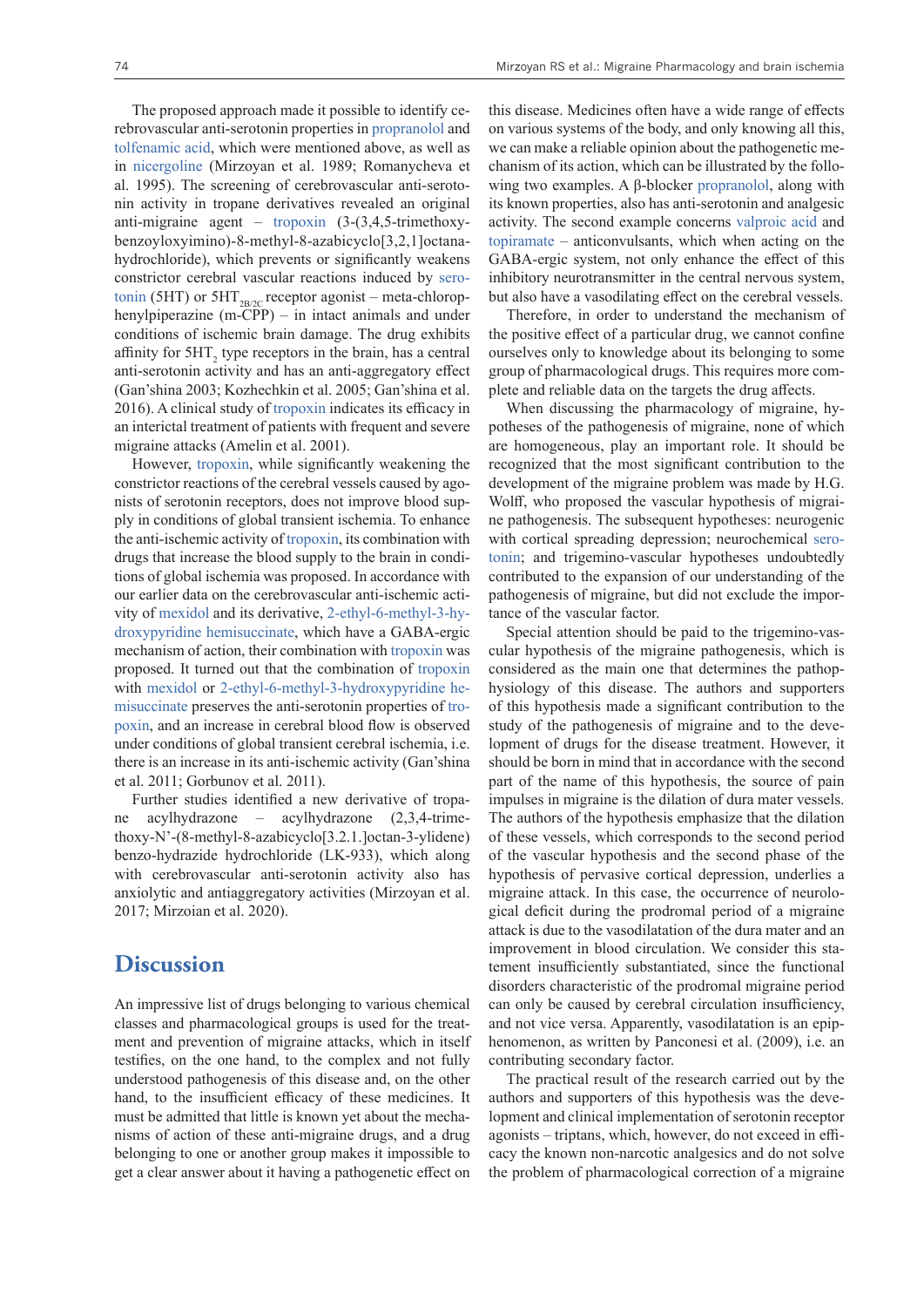The proposed approach made it possible to identify cerebrovascular anti-serotonin properties in [propranolol](https://pubchem.ncbi.nlm.nih.gov/compound/Propranolol) and [tolfenamic acid,](https://pubchem.ncbi.nlm.nih.gov/compound/Tolfenamic-acid) which were mentioned above, as well as in [nicergoline](https://pubchem.ncbi.nlm.nih.gov/compound/Nicergoline) (Mirzoyan et al. 1989; Romanycheva et al. 1995). The screening of cerebrovascular anti-serotonin activity in tropane derivatives revealed an original anti-migraine agent – [tropoxin](https://pubchem.ncbi.nlm.nih.gov/compound/Tropoxin) (3-(3,4,5-trimethoxybenzoyloxyimino)-8-methyl-8-azabicyclo[3,2,1]octanahydrochloride), which prevents or significantly weakens constrictor cerebral vascular reactions induced by [sero](https://pubchem.ncbi.nlm.nih.gov/compound/SEROTONIN)[tonin](https://pubchem.ncbi.nlm.nih.gov/compound/SEROTONIN) (5HT) or  $5HT_{2B/2C}$  receptor agonist – meta-chlorophenylpiperazine (m-CPP) – in intact animals and under conditions of ischemic brain damage. The drug exhibits affinity for  $5HT_2$  type receptors in the brain, has a central anti-serotonin activity and has an anti-aggregatory effect (Gan'shina 2003; Kozhechkin et al. 2005; Gan'shina et al. 2016). A clinical study of [tropoxin](https://pubchem.ncbi.nlm.nih.gov/compound/Tropoxin) indicates its efficacy in an interictal treatment of patients with frequent and severe migraine attacks (Amelin et al. 2001).

However, [tropoxin](https://pubchem.ncbi.nlm.nih.gov/compound/Tropoxin), while significantly weakening the constrictor reactions of the cerebral vessels caused by agonists of serotonin receptors, does not improve blood supply in conditions of global transient ischemia. To enhance the anti-ischemic activity of [tropoxin](https://pubchem.ncbi.nlm.nih.gov/compound/Tropoxin), its combination with drugs that increase the blood supply to the brain in conditions of global ischemia was proposed. In accordance with our earlier data on the cerebrovascular anti-ischemic activity of [mexidol](https://pubchem.ncbi.nlm.nih.gov/compound/Mexidol) and its derivative, [2-ethyl-6-methyl-3-hy](https://pubchem.ncbi.nlm.nih.gov/compound/2-Ethyl-3-hydroxy-6-methylpyridine)[droxypyridine hemisuccinate,](https://pubchem.ncbi.nlm.nih.gov/compound/2-Ethyl-3-hydroxy-6-methylpyridine) which have a GABA-ergic mechanism of action, their combination with [tropoxin](https://pubchem.ncbi.nlm.nih.gov/compound/Tropoxin) was proposed. It turned out that the combination of [tropoxin](https://pubchem.ncbi.nlm.nih.gov/compound/Tropoxin) with [mexidol](https://pubchem.ncbi.nlm.nih.gov/compound/Mexidol) or [2-ethyl-6-methyl-3-hydroxypyridine he](https://pubchem.ncbi.nlm.nih.gov/compound/2-Ethyl-3-hydroxy-6-methylpyridine)[misuccinate](https://pubchem.ncbi.nlm.nih.gov/compound/2-Ethyl-3-hydroxy-6-methylpyridine) preserves the anti-serotonin properties of [tro](https://pubchem.ncbi.nlm.nih.gov/compound/Tropoxin)[poxin](https://pubchem.ncbi.nlm.nih.gov/compound/Tropoxin), and an increase in cerebral blood flow is observed under conditions of global transient cerebral ischemia, i.e. there is an increase in its anti-ischemic activity (Gan'shina et al. 2011; Gorbunov et al. 2011).

Further studies identified a new derivative of tropane acylhydrazone – acylhydrazone (2,3,4-trimethoxy-N'-(8-methyl-8-azabicyclo[3.2.1.]octan-3-ylidene) benzo-hydrazide hydrochloride (LK-933), which along with cerebrovascular anti-serotonin activity also has anxiolytic and antiaggregatory activities (Mirzoyan et al. 2017; Mirzoian et al. 2020).

### **Discussion**

An impressive list of drugs belonging to various chemical classes and pharmacological groups is used for the treatment and prevention of migraine attacks, which in itself testifies, on the one hand, to the complex and not fully understood pathogenesis of this disease and, on the other hand, to the insufficient efficacy of these medicines. It must be admitted that little is known yet about the mechanisms of action of these anti-migraine drugs, and a drug belonging to one or another group makes it impossible to get a clear answer about it having a pathogenetic effect on

this disease. Medicines often have a wide range of effects on various systems of the body, and only knowing all this, we can make a reliable opinion about the pathogenetic mechanism of its action, which can be illustrated by the following two examples. A β-blocker [propranolol,](https://pubchem.ncbi.nlm.nih.gov/compound/Propranolol) along with its known properties, also has anti-serotonin and analgesic activity. The second example concerns [valproic acid](https://pubchem.ncbi.nlm.nih.gov/compound/Valproic-acid) and [topiramate](https://pubchem.ncbi.nlm.nih.gov/compound/Topiramate) – anticonvulsants, which when acting on the GABA-ergic system, not only enhance the effect of this inhibitory neurotransmitter in the central nervous system, but also have a vasodilating effect on the cerebral vessels.

Therefore, in order to understand the mechanism of the positive effect of a particular drug, we cannot confine ourselves only to knowledge about its belonging to some group of pharmacological drugs. This requires more complete and reliable data on the targets the drug affects.

When discussing the pharmacology of migraine, hypotheses of the pathogenesis of migraine, none of which are homogeneous, play an important role. It should be recognized that the most significant contribution to the development of the migraine problem was made by H.G. Wolff, who proposed the vascular hypothesis of migraine pathogenesis. The subsequent hypotheses: neurogenic with cortical spreading depression; neurochemical [sero](https://pubchem.ncbi.nlm.nih.gov/compound/SEROTONIN)[tonin;](https://pubchem.ncbi.nlm.nih.gov/compound/SEROTONIN) and trigemino-vascular hypotheses undoubtedly contributed to the expansion of our understanding of the pathogenesis of migraine, but did not exclude the importance of the vascular factor.

Special attention should be paid to the trigemino-vascular hypothesis of the migraine pathogenesis, which is considered as the main one that determines the pathophysiology of this disease. The authors and supporters of this hypothesis made a significant contribution to the study of the pathogenesis of migraine and to the development of drugs for the disease treatment. However, it should be born in mind that in accordance with the second part of the name of this hypothesis, the source of pain impulses in migraine is the dilation of dura mater vessels. The authors of the hypothesis emphasize that the dilation of these vessels, which corresponds to the second period of the vascular hypothesis and the second phase of the hypothesis of pervasive cortical depression, underlies a migraine attack. In this case, the occurrence of neurological deficit during the prodromal period of a migraine attack is due to the vasodilatation of the dura mater and an improvement in blood circulation. We consider this statement insufficiently substantiated, since the functional disorders characteristic of the prodromal migraine period can only be caused by cerebral circulation insufficiency, and not vice versa. Apparently, vasodilatation is an epiphenomenon, as written by Panconesi et al. (2009), i.e. an contributing secondary factor.

The practical result of the research carried out by the authors and supporters of this hypothesis was the development and clinical implementation of serotonin receptor agonists – triptans, which, however, do not exceed in efficacy the known non-narcotic analgesics and do not solve the problem of pharmacological correction of a migraine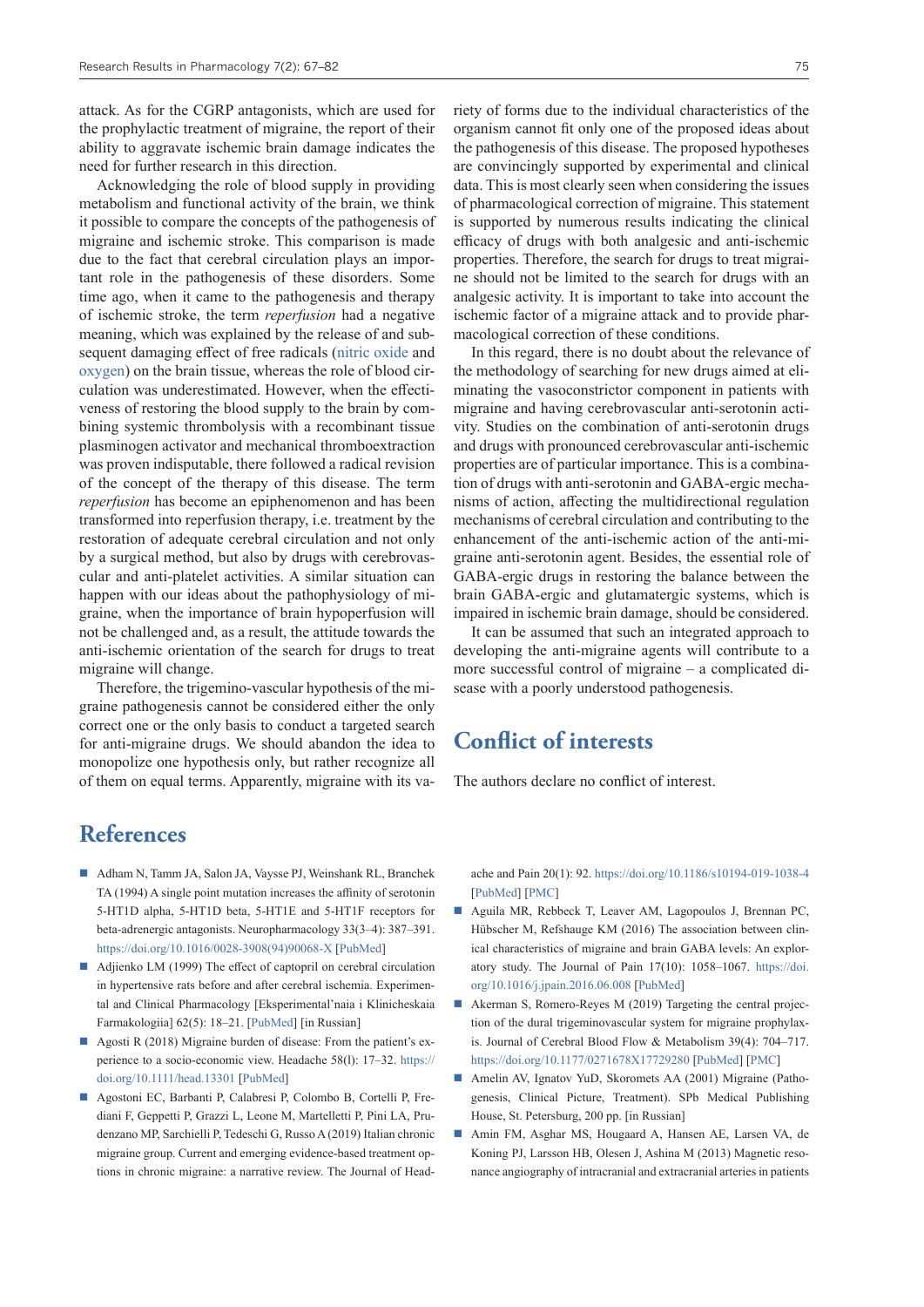attack. As for the CGRP antagonists, which are used for the prophylactic treatment of migraine, the report of their ability to aggravate ischemic brain damage indicates the need for further research in this direction.

Acknowledging the role of blood supply in providing metabolism and functional activity of the brain, we think it possible to compare the concepts of the pathogenesis of migraine and ischemic stroke. This comparison is made due to the fact that cerebral circulation plays an important role in the pathogenesis of these disorders. Some time ago, when it came to the pathogenesis and therapy of ischemic stroke, the term *reperfusion* had a negative meaning, which was explained by the release of and subsequent damaging effect of free radicals ([nitric oxide](https://pubchem.ncbi.nlm.nih.gov/compound/Nitric-oxide) and [oxygen](https://pubchem.ncbi.nlm.nih.gov/compound/Oxygen)) on the brain tissue, whereas the role of blood circulation was underestimated. However, when the effectiveness of restoring the blood supply to the brain by combining systemic thrombolysis with a recombinant tissue plasminogen activator and mechanical thromboextraction was proven indisputable, there followed a radical revision of the concept of the therapy of this disease. The term *reperfusion* has become an epiphenomenon and has been transformed into reperfusion therapy, i.e. treatment by the restoration of adequate cerebral circulation and not only by a surgical method, but also by drugs with cerebrovascular and anti-platelet activities. A similar situation can happen with our ideas about the pathophysiology of migraine, when the importance of brain hypoperfusion will not be challenged and, as a result, the attitude towards the anti-ischemic orientation of the search for drugs to treat migraine will change.

Therefore, the trigemino-vascular hypothesis of the migraine pathogenesis cannot be considered either the only correct one or the only basis to conduct a targeted search for anti-migraine drugs. We should abandon the idea to monopolize one hypothesis only, but rather recognize all of them on equal terms. Apparently, migraine with its va-

### **References**

- Adham N, Tamm JA, Salon JA, Vaysse PJ, Weinshank RL, Branchek TA (1994) A single point mutation increases the affinity of serotonin 5-HT1D alpha, 5-HT1D beta, 5-HT1E and 5-HT1F receptors for beta-adrenergic antagonists. Neuropharmacology 33(3–4): 387–391. [https://doi.org/10.1016/0028-3908\(94\)90068-X](https://doi.org/10.1016/0028-3908(94)90068-X) [[PubMed\]](https://pubmed.ncbi.nlm.nih.gov/7984276/)
- Adjienko LM (1999) The effect of captopril on cerebral circulation in hypertensive rats before and after cerebral ischemia. Experimental and Clinical Pharmacology [Eksperimental'naia i Klinicheskaia Farmakologiia] 62(5): 18–21. [[PubMed\]](https://pubmed.ncbi.nlm.nih.gov/10572745/) [in Russian]
- Agosti R (2018) Migraine burden of disease: From the patient's experience to a socio-economic view. Headache 58(l): 17–32. [https://](https://doi.org/10.1111/head.13301) [doi.org/10.1111/head.13301](https://doi.org/10.1111/head.13301) [\[PubMed\]](https://pubmed.ncbi.nlm.nih.gov/29697152/)
- Agostoni EC, Barbanti P, Calabresi P, Colombo B, Cortelli P, Frediani F, Geppetti P, Grazzi L, Leone M, Martelletti P, Pini LA, Prudenzano MP, Sarchielli P, Tedeschi G, Russo A (2019) Italian chronic migraine group. Current and emerging evidence-based treatment options in chronic migraine: a narrative review. The Journal of Head-

riety of forms due to the individual characteristics of the organism cannot fit only one of the proposed ideas about the pathogenesis of this disease. The proposed hypotheses are convincingly supported by experimental and clinical data. This is most clearly seen when considering the issues of pharmacological correction of migraine. This statement is supported by numerous results indicating the clinical efficacy of drugs with both analgesic and anti-ischemic properties. Therefore, the search for drugs to treat migraine should not be limited to the search for drugs with an analgesic activity. It is important to take into account the ischemic factor of a migraine attack and to provide pharmacological correction of these conditions.

In this regard, there is no doubt about the relevance of the methodology of searching for new drugs aimed at eliminating the vasoconstrictor component in patients with migraine and having cerebrovascular anti-serotonin activity. Studies on the combination of anti-serotonin drugs and drugs with pronounced cerebrovascular anti-ischemic properties are of particular importance. This is a combination of drugs with anti-serotonin and GABA-ergic mechanisms of action, affecting the multidirectional regulation mechanisms of cerebral circulation and contributing to the enhancement of the anti-ischemic action of the anti-migraine anti-serotonin agent. Besides, the essential role of GABA-ergic drugs in restoring the balance between the brain GABA-ergic and glutamatergic systems, which is impaired in ischemic brain damage, should be considered.

It can be assumed that such an integrated approach to developing the anti-migraine agents will contribute to a more successful control of migraine – a complicated disease with a poorly understood pathogenesis.

## **Conflict of interests**

The authors declare no conflict of interest.

ache and Pain 20(1): 92.<https://doi.org/10.1186/s10194-019-1038-4> [\[PubMed](https://pubmed.ncbi.nlm.nih.gov/31470791/)] [[PMC\]](https://www.ncbi.nlm.nih.gov/pmc/articles/PMC6734211/)

- Aguila MR, Rebbeck T, Leaver AM, Lagopoulos J, Brennan PC, Hübscher M, Refshauge KM (2016) The association between clinical characteristics of migraine and brain GABA levels: An exploratory study. The Journal of Pain 17(10): 1058–1067. [https://doi.](https://doi.org/10.1016/j.jpain.2016.06.008) [org/10.1016/j.jpain.2016.06.008](https://doi.org/10.1016/j.jpain.2016.06.008) [\[PubMed\]](https://pubmed.ncbi.nlm.nih.gov/27369186/)
- Akerman S, Romero-Reyes M (2019) Targeting the central projection of the dural trigeminovascular system for migraine prophylaxis. Journal of Cerebral Blood Flow & Metabolism 39(4): 704–717. <https://doi.org/10.1177/0271678X17729280>[\[PubMed](https://pubmed.ncbi.nlm.nih.gov/28885085/)] [[PMC\]](https://www.ncbi.nlm.nih.gov/pmc/articles/PMC6446423/)
- Amelin AV, Ignatov YuD, Skoromets AA (2001) Migraine (Pathogenesis, Clinical Picture, Treatment). SPb Medical Publishing House, St. Petersburg, 200 pp. [in Russian]
- Amin FM, Asghar MS, Hougaard A, Hansen AE, Larsen VA, de Koning PJ, Larsson HB, Olesen J, Ashina M (2013) Magnetic resonance angiography of intracranial and extracranial arteries in patients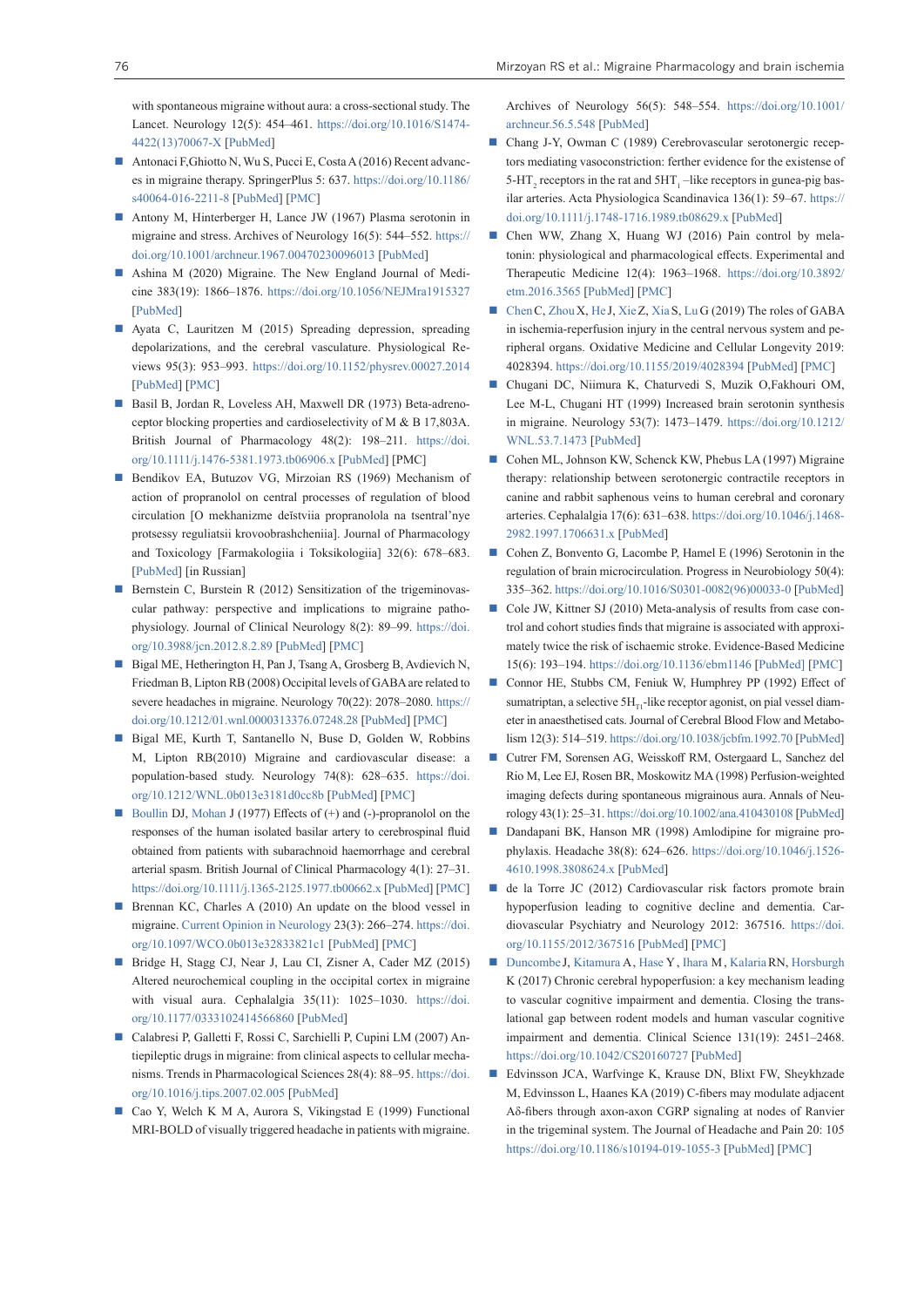with spontaneous migraine without aura: a cross-sectional study. The Lancet. Neurology 12(5): 454–461. [https://doi.org/10.1016/S1474-](https://doi.org/10.1016/S1474-4422(13)70067-X) [4422\(13\)70067-X](https://doi.org/10.1016/S1474-4422(13)70067-X) [\[PubMed\]](https://pubmed.ncbi.nlm.nih.gov/23578775/)

- Antonaci F,Ghiotto N, Wu S, Pucci E, Costa A (2016) Recent advances in migraine therapy. SpringerPlus 5: 637. [https://doi.org/10.1186/](https://doi.org/10.1186/s40064-016-2211-8) [s40064-016-2211-8](https://doi.org/10.1186/s40064-016-2211-8) [[PubMed\]](https://pubmed.ncbi.nlm.nih.gov/27330903/) [[PMC\]](https://www.ncbi.nlm.nih.gov/pmc/articles/PMC4870579/)
- Antony M, Hinterberger H, Lance JW (1967) Plasma serotonin in migraine and stress. Archives of Neurology 16(5): 544–552. [https://](https://doi.org/10.1001/archneur.1967.00470230096013) [doi.org/10.1001/archneur.1967.00470230096013](https://doi.org/10.1001/archneur.1967.00470230096013) [\[PubMed\]](https://pubmed.ncbi.nlm.nih.gov/5297855/)
- Ashina M (2020) Migraine. The New England Journal of Medicine 383(19): 1866–1876. <https://doi.org/10.1056/NEJMra1915327> [[PubMed\]](https://pubmed.ncbi.nlm.nih.gov/33211930/)
- Ayata C, Lauritzen M (2015) Spreading depression, spreading depolarizations, and the cerebral vasculature. Physiological Reviews 95(3): 953–993. <https://doi.org/10.1152/physrev.00027.2014> [[PubMed\]](https://pubmed.ncbi.nlm.nih.gov/26133935/) [\[PMC](https://www.ncbi.nlm.nih.gov/pmc/articles/PMC4491545/)]
- Basil B, Jordan R, Loveless AH, Maxwell DR (1973) Beta-adrenoceptor blocking properties and cardioselectivity of M & B 17,803A. British Journal of Pharmacology 48(2): 198–211. [https://doi.](https://doi.org/10.1111/j.1476-5381.1973.tb06906.x) [org/10.1111/j.1476-5381.1973.tb06906.x](https://doi.org/10.1111/j.1476-5381.1973.tb06906.x) [[PubMed\]](https://pubmed.ncbi.nlm.nih.gov/4147427/) [PMC]
- Bendikov EA, Butuzov VG, Mirzoian RS (1969) Mechanism of action of propranolol on central processes of regulation of blood circulation [O mekhanizme deĭstviia propranolola na tsentral'nye protsessy reguliatsii krovoobrashcheniia]. Journal of Pharmacology and Toxicology [Farmakologiia i Toksikologiia] 32(6): 678–683. [[PubMed\]](https://pubmed.ncbi.nlm.nih.gov/5381597/) [in Russian]
- Bernstein C, Burstein R (2012) Sensitization of the trigeminovascular pathway: perspective and implications to migraine pathophysiology. Journal of Clinical Neurology 8(2): 89–99. [https://doi.](https://doi.org/10.3988/jcn.2012.8.2.89) [org/10.3988/jcn.2012.8.2.89](https://doi.org/10.3988/jcn.2012.8.2.89) [\[PubMed\]](file:///D:\Журнал\2021\Documents and Settings\Admin\Мои документы\Downloads\%5bPubMed%5d %5bPMC%5d) [[PMC\]](https://www.ncbi.nlm.nih.gov/pmc/articles/PMC3391624/)
- Bigal ME, Hetherington H, Pan J, Tsang A, Grosberg B, Avdievich N, Friedman B, Lipton RB (2008) Occipital levels of GABA are related to severe headaches in migraine. Neurology 70(22): 2078–2080. [https://](https://doi.org/10.1212/01.wnl.0000313376.07248.28) [doi.org/10.1212/01.wnl.0000313376.07248.28](https://doi.org/10.1212/01.wnl.0000313376.07248.28) [\[PubMed\]](https://pubmed.ncbi.nlm.nih.gov/18505983/) [\[PMC\]](https://www.ncbi.nlm.nih.gov/pmc/articles/PMC3600581/)
- Bigal ME, Kurth T, Santanello N, Buse D, Golden W, Robbins M, Lipton RB(2010) Migraine and cardiovascular disease: a population-based study. Neurology 74(8): 628–635. [https://doi.](https://doi.org/10.1212/WNL.0b013e3181d0cc8b) [org/10.1212/WNL.0b013e3181d0cc8b](https://doi.org/10.1212/WNL.0b013e3181d0cc8b) [[PubMed\]](https://pubmed.ncbi.nlm.nih.gov/20147658/) [[PMC\]](https://www.ncbi.nlm.nih.gov/pmc/articles/PMC3462501/)
- [Boullin](https://pubmed.ncbi.nlm.nih.gov/?term=Boullin+DJ&cauthor_id=843420) DJ[, Mohan](https://pubmed.ncbi.nlm.nih.gov/?term=Mohan+J&cauthor_id=843420) J (1977) Effects of (+) and (-)-propranolol on the responses of the human isolated basilar artery to cerebrospinal fluid obtained from patients with subarachnoid haemorrhage and cerebral arterial spasm. British Journal of Clinical Pharmacology 4(1): 27–31. <https://doi.org/10.1111/j.1365-2125.1977.tb00662.x>[\[PubMed\]](https://pubmed.ncbi.nlm.nih.gov/843420/) [[PMC](https://www.ncbi.nlm.nih.gov/pmc/articles/PMC1428990/)]
- Brennan KC, Charles A (2010) An update on the blood vessel in migraine. [Current Opinion in Neurology](https://en.wikipedia.org/wiki/Current_Opinion_in_Neurology) 23(3): 266–274. [https://doi.](https://doi.org/10.1097/WCO.0b013e32833821c1) [org/10.1097/WCO.0b013e32833821c1](https://doi.org/10.1097/WCO.0b013e32833821c1) [\[PubMed\]](https://pubmed.ncbi.nlm.nih.gov/20216215/) [[PMC\]](https://www.ncbi.nlm.nih.gov/pmc/articles/PMC5500293/)
- Bridge H, Stagg CJ, Near J, Lau CI, Zisner A, Cader MZ (2015) Altered neurochemical coupling in the occipital cortex in migraine with visual aura. Cephalalgia 35(11): 1025–1030. [https://doi.](https://doi.org/10.1177/0333102414566860) [org/10.1177/0333102414566860](https://doi.org/10.1177/0333102414566860) [\[PubMed](https://pubmed.ncbi.nlm.nih.gov/25631169/)]
- Calabresi P, Galletti F, Rossi C, Sarchielli P, Cupini LM (2007) Antiepileptic drugs in migraine: from clinical aspects to cellular mechanisms. Trends in Pharmacological Sciences 28(4): 88–95. [https://doi.](https://doi.org/10.1016/j.tips.2007.02.005) [org/10.1016/j.tips.2007.02.005](https://doi.org/10.1016/j.tips.2007.02.005) [\[PubMed\]](https://pubmed.ncbi.nlm.nih.gov/17337068/)
- Cao Y, Welch K M A, Aurora S, Vikingstad E (1999) Functional MRI-BOLD of visually triggered headache in patients with migraine.

Archives of Neurology 56(5): 548–554. [https://doi.org/10.1001/](https://doi.org/10.1001/archneur.56.5.548) [archneur.56.5.548](https://doi.org/10.1001/archneur.56.5.548) [[PubMed\]](https://pubmed.ncbi.nlm.nih.gov/10328249/)

- Chang J-Y, Owman C (1989) Cerebrovascular serotonergic receptors mediating vasoconstriction: ferther evidence for the existense of  $5-HT_2$  receptors in the rat and  $5HT_1$ -like receptors in gunea-pig basilar arteries. Acta Physiologica Scandinavica 136(1): 59–67. [https://](https://doi.org/10.1111/j.1748-1716.1989.tb08629.x) [doi.org/10.1111/j.1748-1716.1989.tb08629.x](https://doi.org/10.1111/j.1748-1716.1989.tb08629.x) [\[PubMed](https://pubmed.ncbi.nlm.nih.gov/2570505/)]
- Chen WW, Zhang X, Huang WJ (2016) Pain control by melatonin: physiological and pharmacological effects. Experimental and Therapeutic Medicine 12(4): 1963–1968. [https://doi.org/10.3892/](https://doi.org/10.3892/etm.2016.3565) [etm.2016.3565](https://doi.org/10.3892/etm.2016.3565) [[PubMed](https://pubmed.ncbi.nlm.nih.gov/27698681/)] [\[PMC](https://www.ncbi.nlm.nih.gov/pmc/articles/PMC5038497/)]
- [Chen](https://pubmed.ncbi.nlm.nih.gov/?term=Chen+C&cauthor_id=31814874) C, [Zhou](https://pubmed.ncbi.nlm.nih.gov/?term=Zhou+X&cauthor_id=31814874) X, [He](https://pubmed.ncbi.nlm.nih.gov/?term=He+J&cauthor_id=31814874) J, [Xie](https://pubmed.ncbi.nlm.nih.gov/?term=Xie+Z&cauthor_id=31814874) Z, [Xia](https://pubmed.ncbi.nlm.nih.gov/?term=Xia+S&cauthor_id=31814874) S, [Lu](https://pubmed.ncbi.nlm.nih.gov/?term=Lu+G&cauthor_id=31814874) G (2019) The roles of GABA in ischemia-reperfusion injury in the central nervous system and peripheral organs. Oxidative Medicine and Cellular Longevity 2019: 4028394.<https://doi.org/10.1155/2019/4028394>[\[PubMed](https://pubmed.ncbi.nlm.nih.gov/31814874/)] [[PMC\]](https://www.ncbi.nlm.nih.gov/pmc/articles/PMC6878816/)
- Chugani DC, Niimura K, Chaturvedi S, Muzik O,Fakhouri OM, Lee M-L, Chugani HT (1999) Increased brain serotonin synthesis in migraine. Neurology 53(7): 1473–1479. [https://doi.org/10.1212/](https://doi.org/10.1212/WNL.53.7.1473) [WNL.53.7.1473](https://doi.org/10.1212/WNL.53.7.1473) [\[PubMed](https://pubmed.ncbi.nlm.nih.gov/10534254/)]
- Cohen ML, Johnson KW, Schenck KW, Phebus LA (1997) Migraine therapy: relationship between serotonergic contractile receptors in canine and rabbit saphenous veins to human cerebral and coronary arteries. Cephalalgia 17(6): 631–638. [https://doi.org/10.1046/j.1468-](https://doi.org/10.1046/j.1468-2982.1997.1706631.x) [2982.1997.1706631.x](https://doi.org/10.1046/j.1468-2982.1997.1706631.x) [[PubMed](https://pubmed.ncbi.nlm.nih.gov/9350382/)]
- Cohen Z, Bonvento G, Lacombe P, Hamel E (1996) Serotonin in the regulation of brain microcirculation. Progress in Neurobiology 50(4): 335–362. [https://doi.org/10.1016/S0301-0082\(96\)00033-0](https://doi.org/10.1016/S0301-0082(96)00033-0) [\[PubMed](https://pubmed.ncbi.nlm.nih.gov/9004349/)]
- Cole JW, Kittner SJ (2010) Meta-analysis of results from case control and cohort studies finds that migraine is associated with approximately twice the risk of ischaemic stroke. Evidence-Based Medicine 15(6): 193–194. <https://doi.org/10.1136/ebm1146> [\[PubMed\]](https://pubmed.ncbi.nlm.nih.gov/21047845/) [[PMC](https://www.ncbi.nlm.nih.gov/pmc/articles/PMC6322408/)]
- Connor HE, Stubbs CM, Feniuk W, Humphrey PP (1992) Effect of sumatriptan, a selective  $5H_{T1}$ -like receptor agonist, on pial vessel diameter in anaesthetised cats. Journal of Cerebral Blood Flow and Metabolism 12(3): 514–519.<https://doi.org/10.1038/jcbfm.1992.70>[\[PubMed\]](https://pubmed.ncbi.nlm.nih.gov/1314843/)
- Cutrer FM, Sorensen AG, Weisskoff RM, Ostergaard L, Sanchez del Rio M, Lee EJ, Rosen BR, Moskowitz MA (1998) Perfusion-weighted imaging defects during spontaneous migrainous aura. Annals of Neurology 43(1): 25–31.<https://doi.org/10.1002/ana.410430108> [\[PubMed\]](https://pubmed.ncbi.nlm.nih.gov/9450765/)
- Dandapani BK, Hanson MR (1998) Amlodipine for migraine prophylaxis. Headache 38(8): 624–626. [https://doi.org/10.1046/j.1526-](https://doi.org/10.1046/j.1526-4610.1998.3808624.x) [4610.1998.3808624.x](https://doi.org/10.1046/j.1526-4610.1998.3808624.x) [[PubMed](https://pubmed.ncbi.nlm.nih.gov/11398308/)]
- de la Torre JC (2012) Cardiovascular risk factors promote brain hypoperfusion leading to cognitive decline and dementia. Cardiovascular Psychiatry and Neurology 2012: 367516. [https://doi.](https://doi.org/10.1155/2012/367516) [org/10.1155/2012/367516](https://doi.org/10.1155/2012/367516) [[PubMed\]](https://pubmed.ncbi.nlm.nih.gov/23243502/) [\[PMC](https://www.ncbi.nlm.nih.gov/pmc/articles/PMC3518077/)]
- [Duncombe](https://pubmed.ncbi.nlm.nih.gov/?term=Duncombe+J&cauthor_id=28963120) J, [Kitamura](https://pubmed.ncbi.nlm.nih.gov/?term=Kitamura+A&cauthor_id=28963120) A, [Hase](https://pubmed.ncbi.nlm.nih.gov/?term=Hase+Y&cauthor_id=28963120) Y, [Ihara](https://pubmed.ncbi.nlm.nih.gov/?term=Ihara+M&cauthor_id=28963120) M, [Kalaria](https://pubmed.ncbi.nlm.nih.gov/?term=Kalaria+RN&cauthor_id=28963120) RN, [Horsburgh](https://pubmed.ncbi.nlm.nih.gov/?term=Horsburgh+K&cauthor_id=28963120) K (2017) Chronic cerebral hypoperfusion: a key mechanism leading to vascular cognitive impairment and dementia. Closing the translational gap between rodent models and human vascular cognitive impairment and dementia. Clinical Science 131(19): 2451–2468. <https://doi.org/10.1042/CS20160727>[\[PubMed](https://pubmed.ncbi.nlm.nih.gov/28963120/)]
- Edvinsson JCA, Warfvinge K, Krause DN, Blixt FW, Sheykhzade M, Edvinsson L, Haanes KA (2019) C-fibers may modulate adjacent Aδ-fibers through axon-axon CGRP signaling at nodes of Ranvier in the trigeminal system. The Journal of Headache and Pain 20: 105 <https://doi.org/10.1186/s10194-019-1055-3>[\[PubMed](https://pubmed.ncbi.nlm.nih.gov/31718551/)] [[PMC\]](https://www.ncbi.nlm.nih.gov/pmc/articles/PMC6852900/)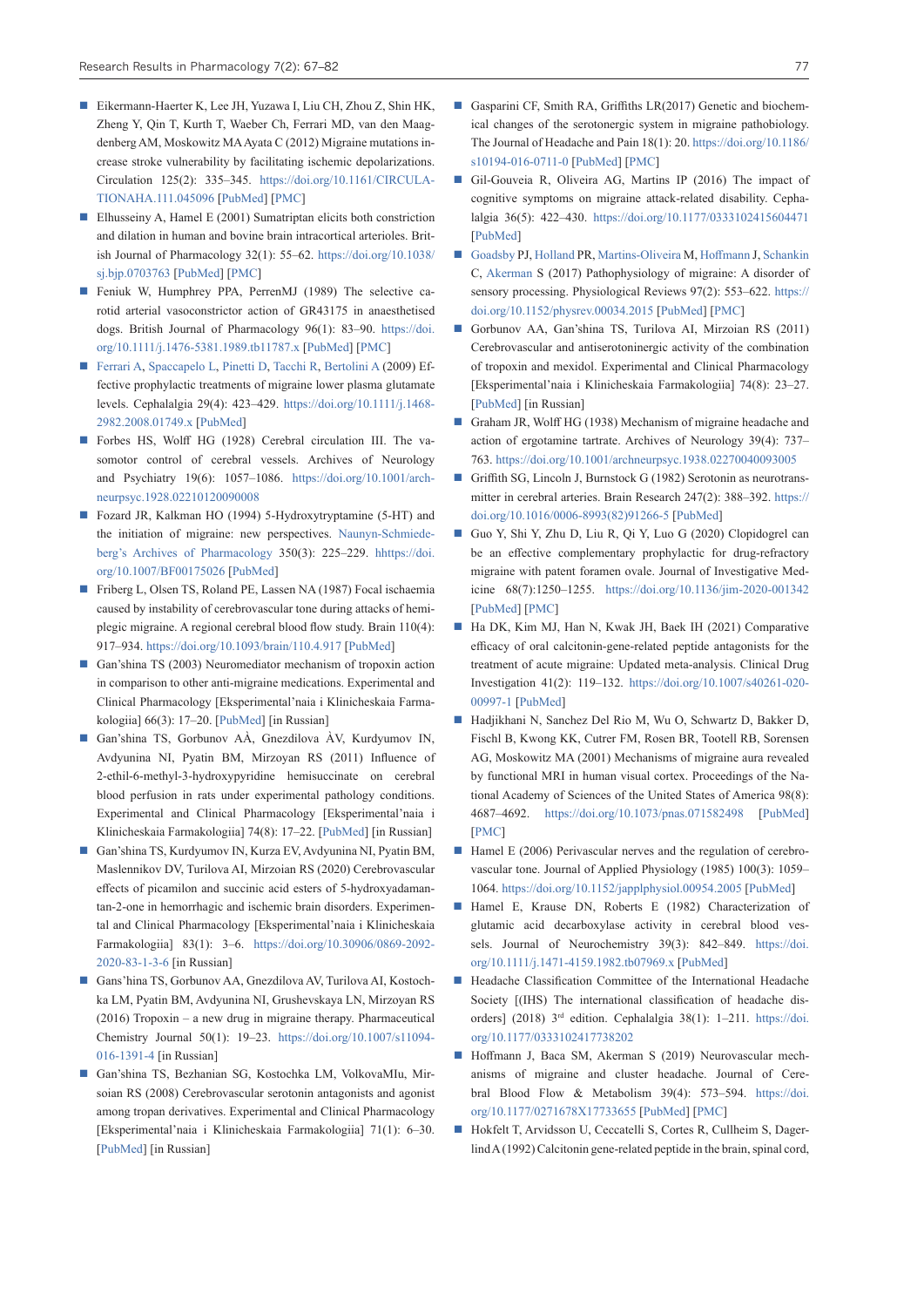- Eikermann-Haerter K, Lee JH, Yuzawa I, Liu CH, Zhou Z, Shin HK, Zheng Y, Qin T, Kurth T, Waeber Ch, Ferrari MD, van den Maagdenberg AM, Moskowitz MA Ayata C (2012) Migraine mutations increase stroke vulnerability by facilitating ischemic depolarizations. Circulation 125(2): 335–345. [https://doi.org/10.1161/CIRCULA-](https://doi.org/10.1161/CIRCULATIONAHA.111.045096)[TIONAHA.111.045096](https://doi.org/10.1161/CIRCULATIONAHA.111.045096) [[PubMed\]](https://pubmed.ncbi.nlm.nih.gov/22144569/) [\[PMC](https://www.ncbi.nlm.nih.gov/pmc/articles/PMC3276214/)]
- Elhusseiny A, Hamel E (2001) Sumatriptan elicits both constriction and dilation in human and bovine brain intracortical arterioles. British Journal of Pharmacology 32(1): 55–62. [https://doi.org/10.1038/](https://doi.org/10.1038/sj.bjp.0703763) [sj.bjp.0703763](https://doi.org/10.1038/sj.bjp.0703763) [[PubMed\]](https://pubmed.ncbi.nlm.nih.gov/11156561/) [\[PMC\]](https://www.ncbi.nlm.nih.gov/pmc/articles/PMC1572524/)
- Feniuk W, Humphrey PPA, PerrenMJ (1989) The selective carotid arterial vasoconstrictor action of GR43175 in anaesthetised dogs. British Journal of Pharmacology 96(1): 83–90. [https://doi.](https://doi.org/10.1111/j.1476-5381.1989.tb11787.x) [org/10.1111/j.1476-5381.1989.tb11787.x](https://doi.org/10.1111/j.1476-5381.1989.tb11787.x) [[PubMed](https://pubmed.ncbi.nlm.nih.gov/2538184/)] [\[PMC](https://www.ncbi.nlm.nih.gov/pmc/articles/PMC1854323/)]
- [Ferrari A,](https://www.ncbi.nlm.nih.gov/pubmed/?term=Ferrari A%5BAuthor%5D&cauthor=true&cauthor_uid=19170689) [Spaccapelo L](https://www.ncbi.nlm.nih.gov/pubmed/?term=Spaccapelo L%5BAuthor%5D&cauthor=true&cauthor_uid=19170689), [Pinetti D](https://www.ncbi.nlm.nih.gov/pubmed/?term=Pinetti D%5BAuthor%5D&cauthor=true&cauthor_uid=19170689), [Tacchi R,](https://www.ncbi.nlm.nih.gov/pubmed/?term=Tacchi R%5BAuthor%5D&cauthor=true&cauthor_uid=19170689) [Bertolini A](https://www.ncbi.nlm.nih.gov/pubmed/?term=Bertolini A%5BAuthor%5D&cauthor=true&cauthor_uid=19170689) (2009) Effective prophylactic treatments of migraine lower plasma glutamate levels. Cephalalgia 29(4): 423–429. [https://doi.org/10.1111/j.1468-](https://doi.org/10.1111/j.1468-2982.2008.01749.x) [2982.2008.01749.x](https://doi.org/10.1111/j.1468-2982.2008.01749.x) [\[PubMed](https://pubmed.ncbi.nlm.nih.gov/19170689/)]
- Forbes HS, Wolff HG (1928) Cerebral circulation III. The vasomotor control of cerebral vessels. Archives of Neurology and Psychiatry 19(6): 1057–1086. [https://doi.org/10.1001/arch](https://doi.org/10.1001/archneurpsyc.1928.02210120090008)[neurpsyc.1928.02210120090008](https://doi.org/10.1001/archneurpsyc.1928.02210120090008)
- Fozard JR, Kalkman HO (1994) 5-Hydroxytryptamine (5-HT) and the initiation of migraine: new perspectives. [Naunyn-Schmiede](https://link.springer.com/journal/210)[berg's Archives of Pharmacology](https://link.springer.com/journal/210) 350(3): 225–229. [hhttps://doi.](https://doi.org/10.1007/BF00175026) [org/10.1007/BF00175026](https://doi.org/10.1007/BF00175026) [[PubMed\]](https://pubmed.ncbi.nlm.nih.gov/7824037/)
- Friberg L, Olsen TS, Roland PE, Lassen NA (1987) Focal ischaemia caused by instability of cerebrovascular tone during attacks of hemiplegic migraine. A regional cerebral blood flow study. Brain 110(4): 917–934.<https://doi.org/10.1093/brain/110.4.917> [[PubMed\]](https://pubmed.ncbi.nlm.nih.gov/3651801/)
- Gan'shina TS (2003) Neuromediator mechanism of tropoxin action in comparison to other anti-migraine medications. Experimental and Clinical Pharmacology [Eksperimental'naia i Klinicheskaia Farmakologiia] 66(3): 17–20. [\[PubMed\]](https://pubmed.ncbi.nlm.nih.gov/12924226/) [in Russian]
- Gan'shina TS, Gorbunov AÀ, Gnezdilova ÀV, Kurdyumov IN, Avdyunina NI, Pyatin BM, Mirzoyan RS (2011) Influence of 2-ethil-6-methyl-3-hydroxypyridine hemisuccinate on cerebral blood perfusion in rats under experimental pathology conditions. Experimental and Clinical Pharmacology [Eksperimental'naia i Klinicheskaia Farmakologiia] 74(8): 17–22. [[PubMed\]](https://pubmed.ncbi.nlm.nih.gov/22232909/) [in Russian]
- Gan'shina TS, Kurdyumov IN, Kurza EV, Avdyunina NI, Pyatin BM, Maslennikov DV, Turilova AI, Mirzoian RS (2020) Cerebrovascular effects of picamilon and succinic acid esters of 5-hydroxyadamantan-2-one in hemorrhagic and ischemic brain disorders. Experimental and Clinical Pharmacology [Eksperimental'naia i Klinicheskaia Farmakologiia] 83(1): 3–6. [https://doi.org/10.30906/0869-2092-](https://doi.org/10.30906/0869-2092-2020-83-1-3-6) [2020-83-1-3-6](https://doi.org/10.30906/0869-2092-2020-83-1-3-6) [in Russian]
- Gans'hina TS, Gorbunov AA, Gnezdilova AV, Turilova AI, Kostochka LM, Pyatin BM, Avdyunina NI, Grushevskaya LN, Mirzoyan RS (2016) Tropoxin – a new drug in migraine therapy. Pharmaceutical Chemistry Journal 50(1): 19–23. [https://doi.org/10.1007/s11094-](https://doi.org/10.1007/s11094-016-1391-4) [016-1391-4](https://doi.org/10.1007/s11094-016-1391-4) [in Russian]
- Gan'shina TS, Bezhanian SG, Kostochka LM, VolkovaMIu, Mirsoian RS (2008) Cerebrovascular serotonin antagonists and agonist among tropan derivatives. Experimental and Clinical Pharmacology [Eksperimental'naia i Klinicheskaia Farmakologiia] 71(1): 6–30. [[PubMed](https://pubmed.ncbi.nlm.nih.gov/18365483/)] [in Russian]
- Gasparini CF, Smith RA, Griffiths LR(2017) Genetic and biochemical changes of the serotonergic system in migraine pathobiology. The Journal of Headache and Pain 18(1): 20. [https://doi.org/10.1186/](https://doi.org/10.1186/s10194-016-0711-0) [s10194-016-0711-0](https://doi.org/10.1186/s10194-016-0711-0) [\[PubMed](https://pubmed.ncbi.nlm.nih.gov/28194570/)] [[PMC](https://www.ncbi.nlm.nih.gov/pmc/articles/PMC5307402/)]
- Gil-Gouveia R, Oliveira AG, Martins IP (2016) The impact of cognitive symptoms on migraine attack-related disability. Cephalalgia 36(5): 422–430. <https://doi.org/10.1177/0333102415604471> [\[PubMed](https://pubmed.ncbi.nlm.nih.gov/26350071/)]
- [Goadsby](https://www.ncbi.nlm.nih.gov/pubmed/?term=Goadsby PJ%5BAuthor%5D&cauthor=true&cauthor_uid=28179394) PJ, [Holland](https://www.ncbi.nlm.nih.gov/pubmed/?term=Holland PR%5BAuthor%5D&cauthor=true&cauthor_uid=28179394) PR, [Martins-Oliveira](https://www.ncbi.nlm.nih.gov/pubmed/?term=Martins-Oliveira M%5BAuthor%5D&cauthor=true&cauthor_uid=28179394) M, [Hoffmann](https://www.ncbi.nlm.nih.gov/pubmed/?term=Hoffmann J%5BAuthor%5D&cauthor=true&cauthor_uid=28179394) J, [Schankin](https://www.ncbi.nlm.nih.gov/pubmed/?term=Schankin C%5BAuthor%5D&cauthor=true&cauthor_uid=28179394) C, [Akerman](https://www.ncbi.nlm.nih.gov/pubmed/?term=Akerman S%5BAuthor%5D&cauthor=true&cauthor_uid=28179394) S (2017) Pathophysiology of migraine: A disorder of sensory processing. Physiological Reviews 97(2): 553–622. [https://](https://doi.org/10.1152/physrev.00034.2015) [doi.org/10.1152/physrev.00034.2015](https://doi.org/10.1152/physrev.00034.2015) [[PubMed](https://pubmed.ncbi.nlm.nih.gov/28179394/)] [\[PMC](https://www.ncbi.nlm.nih.gov/pmc/articles/PMC5539409/)]
- Gorbunov AA, Gan'shina TS, Turilova AI, Mirzoian RS (2011) Cerebrovascular and antiserotoninergic activity of the combination of tropoxin and mexidol. Experimental and Clinical Pharmacology [Eksperimental'naia i Klinicheskaia Farmakologiia] 74(8): 23–27. [\[PubMed](https://pubmed.ncbi.nlm.nih.gov/22232910/)] [in Russian]
- Graham JR, Wolff HG (1938) Mechanism of migraine headache and action of ergotamine tartrate. Archives of Neurology 39(4): 737– 763. <https://doi.org/10.1001/archneurpsyc.1938.02270040093005>
- Griffith SG, Lincoln J, Burnstock G (1982) Serotonin as neurotransmitter in cerebral arteries. Brain Research 247(2): 388–392. [https://](https://doi.org/10.1016/0006-8993(82)91266-5) [doi.org/10.1016/0006-8993\(82\)91266-5](https://doi.org/10.1016/0006-8993(82)91266-5) [\[PubMed](https://pubmed.ncbi.nlm.nih.gov/6127149/)]
- Guo Y, Shi Y, Zhu D, Liu R, Qi Y, Luo G (2020) Clopidogrel can be an effective complementary prophylactic for drug-refractory migraine with patent foramen ovale. Journal of Investigative Medicine 68(7):1250–1255. <https://doi.org/10.1136/jim-2020-001342> [\[PubMed](https://pubmed.ncbi.nlm.nih.gov/32848048/)] [[PMC\]](https://www.ncbi.nlm.nih.gov/pmc/articles/PMC7525787/)
- Ha DK, Kim MJ, Han N, Kwak JH, Baek IH (2021) Comparative efficacy of oral calcitonin-gene-related peptide antagonists for the treatment of acute migraine: Updated meta-analysis. Clinical Drug Investigation 41(2): 119–132. [https://doi.org/10.1007/s40261-020-](https://doi.org/10.1007/s40261-020-00997-1) [00997-1](https://doi.org/10.1007/s40261-020-00997-1) [[PubMed\]](https://pubmed.ncbi.nlm.nih.gov/33426614/)
- Hadjikhani N, Sanchez Del Rio M, Wu O, Schwartz D, Bakker D, Fischl B, Kwong KK, Cutrer FM, Rosen BR, Tootell RB, Sorensen AG, Moskowitz MA (2001) Mechanisms of migraine aura revealed by functional MRI in human visual cortex. Proceedings of the National Academy of Sciences of the United States of America 98(8): 4687–4692. <https://doi.org/10.1073/pnas.071582498> [[PubMed\]](https://pubmed.ncbi.nlm.nih.gov/11287655/) [\[PMC](https://www.ncbi.nlm.nih.gov/pmc/articles/PMC31895/)]
- Hamel E (2006) Perivascular nerves and the regulation of cerebrovascular tone. Journal of Applied Physiology (1985) 100(3): 1059– 1064. <https://doi.org/10.1152/japplphysiol.00954.2005> [[PubMed\]](https://pubmed.ncbi.nlm.nih.gov/16467392/)
- Hamel E, Krause DN, Roberts E (1982) Characterization of glutamic acid decarboxylase activity in cerebral blood vessels. Journal of Neurochemistry 39(3): 842–849. [https://doi.](https://doi.org/10.1111/j.1471-4159.1982.tb07969.x) [org/10.1111/j.1471-4159.1982.tb07969.x](https://doi.org/10.1111/j.1471-4159.1982.tb07969.x) [\[PubMed\]](https://pubmed.ncbi.nlm.nih.gov/7097288/)
- **Headache Classification Committee of the International Headache** Society [(IHS) The international classification of headache disorders] (2018) 3<sup>rd</sup> edition. Cephalalgia 38(1): 1-211. [https://doi.](https://doi.org/10.1177/0333102417738202) [org/10.1177/0333102417738202](https://doi.org/10.1177/0333102417738202)
- Hoffmann J, Baca SM, Akerman S (2019) Neurovascular mechanisms of migraine and cluster headache. Journal of Cerebral Blood Flow & Metabolism 39(4): 573–594. [https://doi.](https://doi.org/10.1177/0271678X17733655) [org/10.1177/0271678X17733655](https://doi.org/10.1177/0271678X17733655) [[PubMed\]](https://pubmed.ncbi.nlm.nih.gov/28948863/) [\[PMC](https://www.ncbi.nlm.nih.gov/pmc/articles/PMC6446418/)]
- Hokfelt T, Arvidsson U, Ceccatelli S, Cortes R, Cullheim S, Dagerlind A (1992) Calcitonin gene-related peptide in the brain, spinal cord,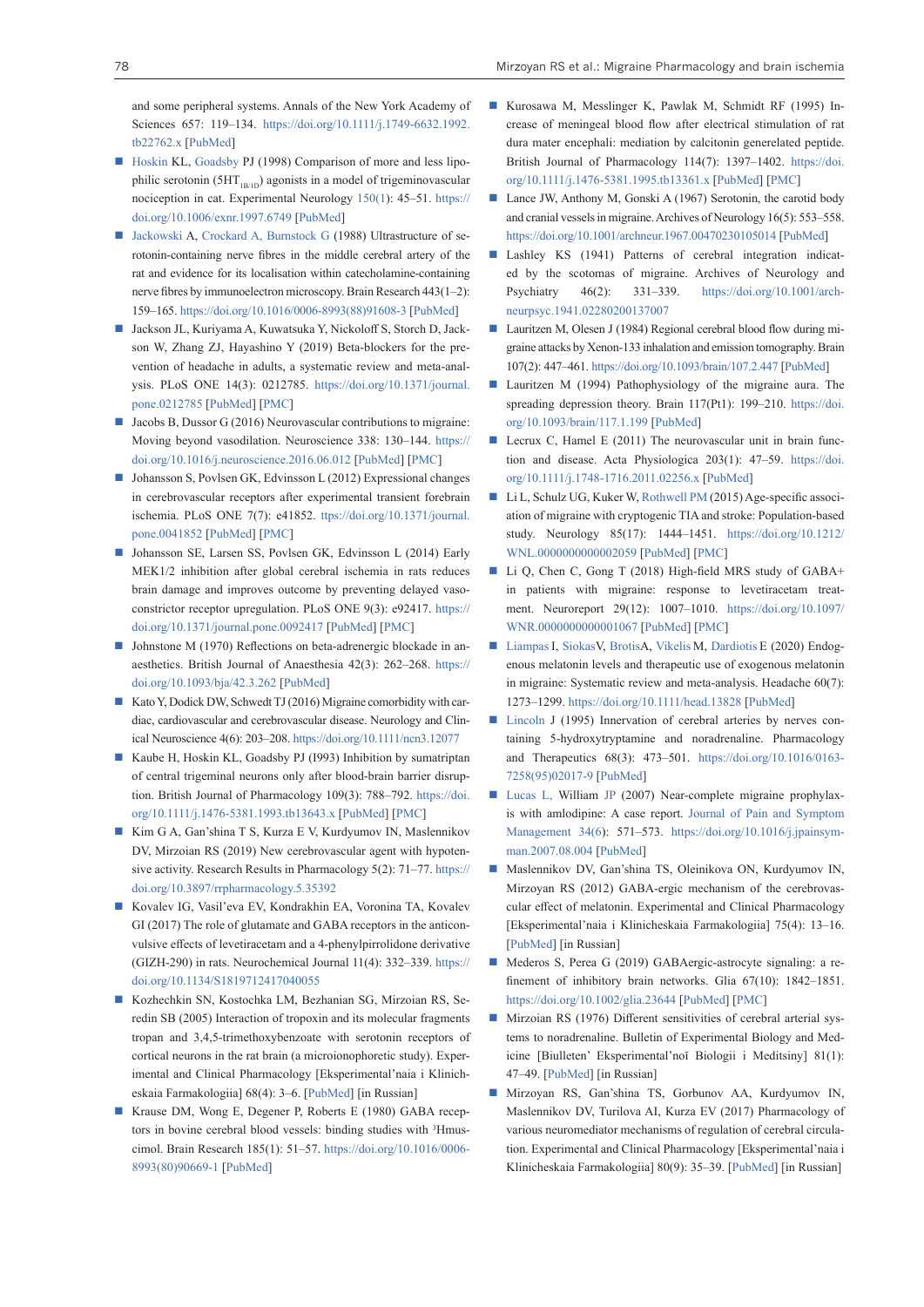and some peripheral systems. Annals of the New York Academy of Sciences 657: 119–134. [https://doi.org/10.1111/j.1749-6632.1992.](https://doi.org/10.1111/j.1749-6632.1992.tb22762.x) [tb22762.x](https://doi.org/10.1111/j.1749-6632.1992.tb22762.x) [[PubMed](https://pubmed.ncbi.nlm.nih.gov/1637079/)]

- [Hoskin](https://www.sciencedirect.com/science/article/abs/pii/S0014488697967492#!) KL, [Goadsby](https://www.sciencedirect.com/science/article/abs/pii/S0014488697967492#!) PJ (1998) Comparison of more and less lipophilic serotonin (5HT<sub>1B/1D</sub>) agonists in a model of trigeminovascular nociception in cat. Experimental Neurolog[y 150\(1\)](https://www.sciencedirect.com/science/journal/00144886/150/1): 45–51. [https://](https://doi.org/10.1006/exnr.1997.6749) [doi.org/10.1006/exnr.1997.6749](https://doi.org/10.1006/exnr.1997.6749) [[PubMed\]](https://pubmed.ncbi.nlm.nih.gov/9514827/)
- [Jackowski](https://www.sciencedirect.com/science/article/abs/pii/0006899388916083#!) A, [Crockard A, Burnstock G](https://www.sciencedirect.com/science/article/abs/pii/0006899388916083#!) (1988) Ultrastructure of serotonin-containing nerve fibres in the middle cerebral artery of the rat and evidence for its localisation within catecholamine-containing nerve fibres by immunoelectron microscopy. Brain Research 443(1–2): 159–165. [https://doi.org/10.1016/0006-8993\(88\)91608-3](https://doi.org/10.1016/0006-8993(88)91608-3) [\[PubMed](https://pubmed.ncbi.nlm.nih.gov/3282611/)]
- Jackson JL, Kuriyama A, Kuwatsuka Y, Nickoloff S, Storch D, Jackson W, Zhang ZJ, Hayashino Y (2019) Beta-blockers for the prevention of headache in adults, a systematic review and meta-analysis. PLoS ONE 14(3): 0212785. [https://doi.org/10.1371/journal.](https://doi.org/10.1371/journal.pone.0212785) [pone.0212785](https://doi.org/10.1371/journal.pone.0212785) [\[PubMed](https://pubmed.ncbi.nlm.nih.gov/30893319/)] [[PMC\]](https://www.ncbi.nlm.nih.gov/pmc/articles/PMC6426199/)
- $\blacksquare$  Jacobs B, Dussor G (2016) Neurovascular contributions to migraine: Moving beyond vasodilation. Neuroscience 338: 130–144. [https://](https://doi.org/10.1016/j.neuroscience.2016.06.012) [doi.org/10.1016/j.neuroscience.2016.06.012](https://doi.org/10.1016/j.neuroscience.2016.06.012) [[PubMed\]](https://pubmed.ncbi.nlm.nih.gov/27312704/) [\[PMC](https://www.ncbi.nlm.nih.gov/pmc/articles/PMC5083225/)]
- Johansson S, Povlsen GK, Edvinsson L (2012) Expressional changes in cerebrovascular receptors after experimental transient forebrain ischemia. PLoS ONE 7(7): e41852. ttps://doi.org/10.1371/journal. pone.0041852 [\[PubMed](https://pubmed.ncbi.nlm.nih.gov/22848635/)] [[PMC\]](https://www.ncbi.nlm.nih.gov/pmc/articles/PMC3407123/)
- Johansson SE, Larsen SS, Povlsen GK, Edvinsson L (2014) Early MEK1/2 inhibition after global cerebral ischemia in rats reduces brain damage and improves outcome by preventing delayed vasoconstrictor receptor upregulation. PLoS ONE 9(3): e92417. [https://](https://doi.org/10.1371/journal.pone.0092417) [doi.org/10.1371/journal.pone.0092417](https://doi.org/10.1371/journal.pone.0092417) [\[PubMed](https://pubmed.ncbi.nlm.nih.gov/24642693/)] [[PMC](https://www.ncbi.nlm.nih.gov/pmc/articles/PMC3958517/)]
- Johnstone M (1970) Reflections on beta-adrenergic blockade in anaesthetics. British Journal of Anaesthesia 42(3): 262–268. [https://](https://doi.org/10.1093/bja/42.3.262) [doi.org/10.1093/bja/42.3.262](https://doi.org/10.1093/bja/42.3.262) [[PubMed\]](https://pubmed.ncbi.nlm.nih.gov/4393293/)
- Kato Y, Dodick DW, Schwedt TJ (2016) Migraine comorbidity with cardiac, cardiovascular and cerebrovascular disease. Neurology and Clinical Neuroscience 4(6): 203–208.<https://doi.org/10.1111/ncn3.12077>
- Kaube H, Hoskin KL, Goadsby PJ (I993) Inhibition by sumatriptan of central trigeminal neurons only after blood-brain barrier disruption. British Journal of Pharmacology 109(3): 788–792. [https://doi.](https://doi.org/10.1111/j.1476-5381.1993.tb13643.x) [org/10.1111/j.1476-5381.1993.tb13643.x](https://doi.org/10.1111/j.1476-5381.1993.tb13643.x) [[PubMed\]](https://pubmed.ncbi.nlm.nih.gov/8395298/) [\[PMC](https://www.ncbi.nlm.nih.gov/pmc/articles/PMC2175651/)]
- Kim G A, Gan'shina T S, Kurza E V, Kurdyumov IN, Maslennikov DV, Mirzoian RS (2019) New cerebrovascular agent with hypotensive activity. Research Results in Pharmacology 5(2): 71–77. [https://](https://doi.org/10.3897/rrpharmacology.5.35392) [doi.org/10.3897/rrpharmacology.5.35392](https://doi.org/10.3897/rrpharmacology.5.35392)
- Kovalev IG, Vasil'eva EV, Kondrakhin EA, Voronina TA, Kovalev GI (2017) The role of glutamate and GABA receptors in the anticonvulsive effects of levetiracetam and a 4-phenylpirrolidone derivative (GIZH-290) in rats. Neurochemical Journal 11(4): 332–339. [https://](https://doi.org/10.1134/S1819712417040055) [doi.org/10.1134/S1819712417040055](https://doi.org/10.1134/S1819712417040055)
- Kozhechkin SN, Kostochka LM, Bezhanian SG, Mirzoian RS, Seredin SB (2005) Interaction of tropoxin and its molecular fragments tropan and 3,4,5-trimethoxybenzoate with serotonin receptors of cortical neurons in the rat brain (a microionophoretic study). Experimental and Clinical Pharmacology [Eksperimental'naia i Klinicheskaia Farmakologiia] 68(4): 3–6. [[PubMed\]](https://pubmed.ncbi.nlm.nih.gov/16193647/) [in Russian]
- Krause DM, Wong E, Degener P, Roberts E (1980) GABA receptors in bovine cerebral blood vessels: binding studies with <sup>3</sup>Hmuscimol. Brain Research 185(1): 51–57. [https://doi.org/10.1016/0006-](https://doi.org/10.1016/0006-8993(80)90669-1) [8993\(80\)90669-1](https://doi.org/10.1016/0006-8993(80)90669-1) [[PubMed\]](https://pubmed.ncbi.nlm.nih.gov/6243504/)
- Kurosawa M, Messlinger K, Pawlak M, Schmidt RF (1995) Increase of meningeal blood flow after electrical stimulation of rat dura mater encephali: mediation by calcitonin generelated peptide. British Journal of Pharmacology 114(7): 1397–1402. [https://doi.](https://doi.org/10.1111/j.1476-5381.1995.tb13361.x) [org/10.1111/j.1476-5381.1995.tb13361.x](https://doi.org/10.1111/j.1476-5381.1995.tb13361.x) [\[PubMed](https://pubmed.ncbi.nlm.nih.gov/7606344/)] [[PMC\]](https://www.ncbi.nlm.nih.gov/pmc/articles/PMC1510285/)
- Lance JW, Anthony M, Gonski A (1967) Serotonin, the carotid body and cranial vessels in migraine. Archives of Neurology 16(5): 553–558. <https://doi.org/10.1001/archneur.1967.00470230105014> [[PubMed](https://pubmed.ncbi.nlm.nih.gov/6022537/)]
- Lashley KS (1941) Patterns of cerebral integration indicated by the scotomas of migraine. Archives of Neurology and Psychiatry 46(2): 331–339. [https://doi.org/10.1001/arch](https://doi.org/10.1001/archneurpsyc.1941.02280200137007)[neurpsyc.1941.02280200137007](https://doi.org/10.1001/archneurpsyc.1941.02280200137007)
- Lauritzen M, Olesen J (1984) Regional cerebral blood flow during migraine attacks by Xenon-133 inhalation and emission tomography. Brain 107(2): 447–461.<https://doi.org/10.1093/brain/107.2.447> [[PubMed\]](https://pubmed.ncbi.nlm.nih.gov/6609739/)
- Lauritzen M (1994) Pathophysiology of the migraine aura. The spreading depression theory. Brain 117(Pt1): 199–210. [https://doi.](https://doi.org/10.1093/brain/117.1.199) [org/10.1093/brain/117.1.199](https://doi.org/10.1093/brain/117.1.199) [\[PubMed](https://pubmed.ncbi.nlm.nih.gov/7908596/)]
- Lecrux C, Hamel E (2011) The neurovascular unit in brain function and disease. Acta Physiologica 203(1): 47–59. [https://doi.](https://doi.org/10.1111/j.1748-1716.2011.02256.x) [org/10.1111/j.1748-1716.2011.02256.x](https://doi.org/10.1111/j.1748-1716.2011.02256.x) [[PubMed\]](https://pubmed.ncbi.nlm.nih.gov/21272266/)
- Li L, Schulz UG, Kuker W, [Rothwell PM](https://www.ncbi.nlm.nih.gov/pubmed/?term=Rothwell PM%5BAuthor%5D&cauthor=true&cauthor_uid=26423431) (2015) Age-specific association of migraine with cryptogenic TIA and stroke: Population-based study. Neurology 85(17): 1444–1451. [https://doi.org/10.1212/](https://doi.org/10.1212/WNL.0000000000002059) [WNL.0000000000002059](https://doi.org/10.1212/WNL.0000000000002059) [\[PubMed](https://pubmed.ncbi.nlm.nih.gov/26423431/)] [[PMC\]](https://www.ncbi.nlm.nih.gov/pmc/articles/PMC4631068/)
- Li Q, Chen C, Gong T (2018) High-field MRS study of GABA+ in patients with migraine: response to levetiracetam treatment. Neuroreport 29(12): 1007–1010. [https://doi.org/10.1097/](https://doi.org/10.1097/WNR.0000000000001067) [WNR.0000000000001067](https://doi.org/10.1097/WNR.0000000000001067) [[PubMed\]](https://pubmed.ncbi.nlm.nih.gov/29889154/) [\[PMC\]](https://www.ncbi.nlm.nih.gov/pmc/articles/PMC6092105/)
- [Liampas](https://pubmed.ncbi.nlm.nih.gov/?term=Liampas+I&cauthor_id=32352572) I, Siokas V, Brotis A, [Vikelis](https://pubmed.ncbi.nlm.nih.gov/?term=Vikelis+M&cauthor_id=32352572) M, [Dardiotis](https://pubmed.ncbi.nlm.nih.gov/?term=Dardiotis+E&cauthor_id=32352572) E (2020) Endogenous melatonin levels and therapeutic use of exogenous melatonin in migraine: Systematic review and meta-analysis. Headache 60(7): 1273–1299.<https://doi.org/10.1111/head.13828>[[PubMed\]](https://pubmed.ncbi.nlm.nih.gov/32352572/)
- [Lincoln](https://www.sciencedirect.com/science/article/abs/pii/0163725895020179?via%3Dihub#!) J (1995) Innervation of cerebral arteries by nerves containing 5-hydroxytryptamine and noradrenaline. Pharmacology and Therapeutics 68(3): 473–501. [https://doi.org/10.1016/0163-](https://doi.org/10.1016/0163-7258(95)02017-9) [7258\(95\)02017-9](https://doi.org/10.1016/0163-7258(95)02017-9) [[PubMed](https://pubmed.ncbi.nlm.nih.gov/8788567/)]
- [Lucas L, W](https://www.sciencedirect.com/science/article/pii/S0885392407005933?via%3Dihub#!)illiam [JP \(](https://www.sciencedirect.com/science/article/pii/S0885392407005933?via%3Dihub#!)2007) Near-complete migraine prophylaxis with amlodipine: A case report. [Journal of Pain and Symptom](https://www.sciencedirect.com/science/journal/08853924) [Management](https://www.sciencedirect.com/science/journal/08853924) [34\(6\)](https://www.sciencedirect.com/science/journal/08853924/34/6): 571–573. [https://doi.org/10.1016/j.jpainsym](https://doi.org/10.1016/j.jpainsymman.2007.08.004)[man.2007.08.004](https://doi.org/10.1016/j.jpainsymman.2007.08.004) [[PubMed\]](https://pubmed.ncbi.nlm.nih.gov/18053876/)
- Maslennikov DV, Gan'shina TS, Oleinikova ON, Kurdyumov IN, Mirzoyan RS (2012) GABA-ergic mechanism of the cerebrovascular effect of melatonin. Experimental and Clinical Pharmacology [Eksperimental'naia i Klinicheskaia Farmakologiia] 75(4): 13–16. [[PubMed](https://pubmed.ncbi.nlm.nih.gov/22702104/)] [in Russian]
- Mederos S, Perea G (2019) GABAergic-astrocyte signaling: a refinement of inhibitory brain networks. Glia 67(10): 1842–1851. <https://doi.org/10.1002/glia.23644>[\[PubMed\]](https://pubmed.ncbi.nlm.nih.gov/31145508/) [[PMC\]](https://www.ncbi.nlm.nih.gov/pmc/articles/PMC6772151/)
- Mirzoian RS (1976) Different sensitivities of cerebral arterial systems to noradrenaline. Bulletin of Experimental Biology and Medicine [Biulleten' Eksperimental'noĭ Biologii i Meditsiny] 81(1): 47–49. [[PubMed](https://pubmed.ncbi.nlm.nih.gov/1247678/)] [in Russian]
- Mirzoyan RS, Gan'shina TS, Gorbunov AA, Kurdyumov IN, Maslennikov DV, Turilova AI, Kurza EV (2017) Pharmacology of various neuromediator mechanisms of regulation of cerebral circulation. Experimental and Clinical Pharmacology [Eksperimental'naia i Klinicheskaia Farmakologiia] 80(9): 35–39. [[PubMed\]](https://pubmed.ncbi.nlm.nih.gov/27455572/) [in Russian]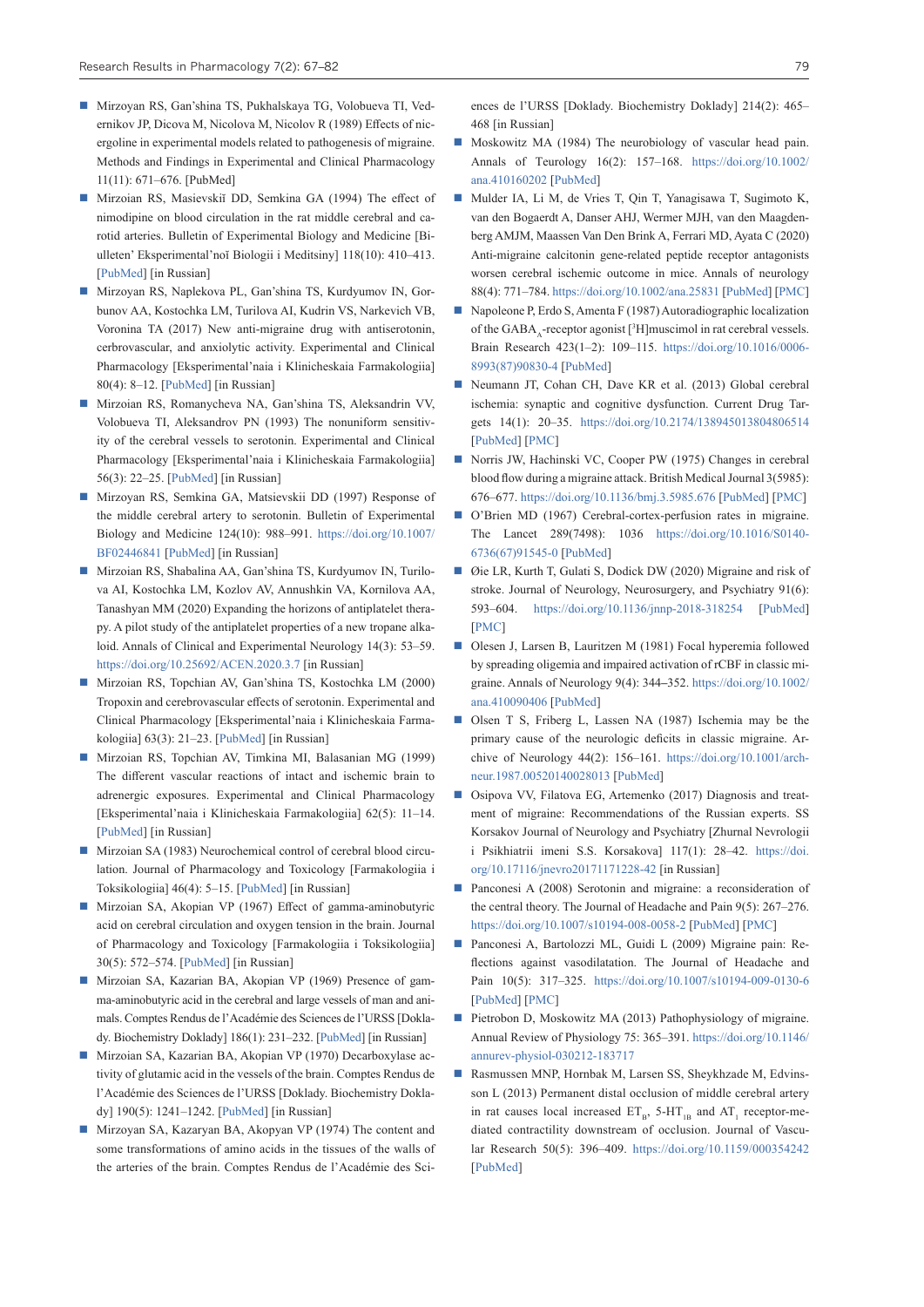- Mirzoyan RS, Gan'shina TS, Pukhalskaya TG, Volobueva TI, Vedernikov JP, Dicova M, Nicolova M, Nicolov R (1989) Effects of nicergoline in experimental models related to pathogenesis of migraine. Methods and Findings in Experimental and Clinical Pharmacology 11(11): 671–676. [PubMed]
- Mirzoian RS, Masievskiĭ DD, Semkina GA (1994) The effect of nimodipine on blood circulation in the rat middle cerebral and carotid arteries. Bulletin of Experimental Biology and Medicine [Biulleten' Eksperimental'noĭ Biologii i Meditsiny] 118(10): 410–413. [\[PubMed](https://pubmed.ncbi.nlm.nih.gov/7865822/)] [in Russian]
- Mirzoyan RS, Naplekova PL, Gan'shina TS, Kurdyumov IN, Gorbunov AA, Kostochka LM, Turilova AI, Kudrin VS, Narkevich VB, Voronina TA (2017) New anti-migraine drug with antiserotonin, cerbrovascular, and anxiolytic activity. Experimental and Clinical Pharmacology [Eksperimental'naia i Klinicheskaia Farmakologiia] 80(4): 8–12. [[PubMed\]](https://pubmed.ncbi.nlm.nih.gov/27159949/) [in Russian]
- Mirzoian RS, Romanycheva NA, Gan'shina TS, Aleksandrin VV, Volobueva TI, Aleksandrov PN (1993) The nonuniform sensitivity of the cerebral vessels to serotonin. Experimental and Clinical Pharmacology [Eksperimental'naia i Klinicheskaia Farmakologiia] 56(3): 22–25. [[PubMed\]](https://pubmed.ncbi.nlm.nih.gov/8219983/) [in Russian]
- Mirzoyan RS, Semkina GA, Matsievskii DD (1997) Response of the middle cerebral artery to serotonin. Bulletin of Experimental Biology and Medicine 124(10): 988–991. [https://doi.org/10.1007/](https://doi.org/10.1007/BF02446841) [BF02446841](https://doi.org/10.1007/BF02446841) [[PubMed\]](https://pubmed.ncbi.nlm.nih.gov/9410173/) [in Russian]
- Mirzoian RS, Shabalina AA, Gan'shina TS, Kurdyumov IN, Turilova AI, Kostochka LM, Kozlov AV, Annushkin VA, Kornilova AA, Tanashyan MM (2020) Expanding the horizons of antiplatelet therapy. A pilot study of the antiplatelet properties of a new tropane alkaloid. Annals of Clinical and Experimental Neurology 14(3): 53–59. <https://doi.org/10.25692/ACEN.2020.3.7>[in Russian]
- Mirzoian RS, Topchian AV, Gan'shina TS, Kostochka LM (2000) Tropoxin and cerebrovascular effects of serotonin. Experimental and Clinical Pharmacology [Eksperimental'naia i Klinicheskaia Farmakologiia] 63(3): 21–23. [\[PubMed\]](https://pubmed.ncbi.nlm.nih.gov/10934590/) [in Russian]
- Mirzoian RS, Topchian AV, Timkina MI, Balasanian MG (1999) The different vascular reactions of intact and ischemic brain to adrenergic exposures. Experimental and Clinical Pharmacology [Eksperimental'naia i Klinicheskaia Farmakologiia] 62(5): 11–14. [[PubMed](https://pubmed.ncbi.nlm.nih.gov/10572743/)] [in Russian]
- Mirzoian SA (1983) Neurochemical control of cerebral blood circulation. Journal of Pharmacology and Toxicology [Farmakologiia i Toksikologiia] 46(4): 5–15. [\[PubMed](https://pubmed.ncbi.nlm.nih.gov/6311614/)] [in Russian]
- Mirzoian SA, Akopian VP (1967) Effect of gamma-aminobutyric acid on cerebral circulation and oxygen tension in the brain. Journal of Pharmacology and Toxicology [Farmakologiia i Toksikologiia] 30(5): 572–574. [[PubMed\]](https://pubmed.ncbi.nlm.nih.gov/5598918/) [in Russian]
- Mirzoian SA, Kazarian BA, Akopian VP (1969) Presence of gamma-aminobutyric acid in the cerebral and large vessels of man and animals. Comptes Rendus de l'Académie des Sciences de l'URSS [Doklady. Biochemistry Doklady] 186(1): 231–232. [\[PubMed\]](https://pubmed.ncbi.nlm.nih.gov/5397548/) [in Russian]
- Mirzoian SA, Kazarian BA, Akopian VP (1970) Decarboxylase activity of glutamic acid in the vessels of the brain. Comptes Rendus de l'Académie des Sciences de l'URSS [Doklady. Biochemistry Doklady] 190(5): 1241–1242. [\[PubMed](https://pubmed.ncbi.nlm.nih.gov/5469664/)] [in Russian]
- Mirzoyan SA, Kazaryan BA, Akopyan VP (1974) The content and some transformations of amino acids in the tissues of the walls of the arteries of the brain. Comptes Rendus de l'Académie des Sci-

ences de l'URSS [Doklady. Biochemistry Doklady] 214(2): 465– 468 [in Russian]

- Moskowitz MA (1984) The neurobiology of vascular head pain. Annals of Тeurology 16(2): 157–168. [https://doi.org/10.1002/](https://doi.org/10.1002/ana.410160202) [ana.410160202](https://doi.org/10.1002/ana.410160202) [\[PubMed\]](https://pubmed.ncbi.nlm.nih.gov/6206779/)
- Mulder IA, Li M, de Vries T, Qin T, Yanagisawa T, Sugimoto K, van den Bogaerdt A, Danser AHJ, Wermer MJH, van den Maagdenberg AMJM, Maassen Van Den Brink A, Ferrari MD, Ayata C (2020) Anti-migraine calcitonin gene-related peptide receptor antagonists worsen cerebral ischemic outcome in mice. Annals of neurology 88(4): 771–784.<https://doi.org/10.1002/ana.25831>[\[PubMed](https://pubmed.ncbi.nlm.nih.gov/32583883/)] [[PMC\]](https://www.ncbi.nlm.nih.gov/pmc/articles/PMC7540520/)
- Napoleone P, Erdo S, Amenta F (1987) Autoradiographic localization of the  $GABA_A$ -receptor agonist [3H] muscimol in rat cerebral vessels. Brain Research 423(1–2): 109–115. [https://doi.org/10.1016/0006-](https://doi.org/10.1016/0006-8993(87)90830-4) [8993\(87\)90830-4](https://doi.org/10.1016/0006-8993(87)90830-4) [\[PubMed](https://pubmed.ncbi.nlm.nih.gov/2823981/)]
- Neumann JT, Cohan CH, Dave KR et al. (2013) Global cerebral ischemia: synaptic and cognitive dysfunction. Current Drug Targets 14(1): 20–35. <https://doi.org/10.2174/138945013804806514> [\[PubMed](https://pubmed.ncbi.nlm.nih.gov/23170794/)] [[PMC\]](https://www.ncbi.nlm.nih.gov/pmc/articles/PMC5800514/)
- Norris JW, Hachinski VC, Cooper PW (1975) Changes in cerebral blood flow during a migraine attack. British Medical Journal 3(5985): 676–677. <https://doi.org/10.1136/bmj.3.5985.676> [[PubMed\]](https://pubmed.ncbi.nlm.nih.gov/1182454/) [\[PMC](https://www.ncbi.nlm.nih.gov/pmc/articles/PMC1674560/)]
- O'Brien MD (1967) Cerebral-cortex-perfusion rates in migraine. The Lancet 289(7498): 1036 [https://doi.org/10.1016/S0140-](https://doi.org/10.1016/S0140-6736(67)91545-0) [6736\(67\)91545-0](https://doi.org/10.1016/S0140-6736(67)91545-0) [\[PubMed](https://pubmed.ncbi.nlm.nih.gov/4164469/)]
- Øie LR, Kurth T, Gulati S, Dodick DW (2020) Migraine and risk of stroke. Journal of Neurology, Neurosurgery, and Psychiatry 91(6): 593–604. <https://doi.org/10.1136/jnnp-2018-318254>[[PubMed\]](https://pubmed.ncbi.nlm.nih.gov/32217787/) [\[PMC](https://www.ncbi.nlm.nih.gov/pmc/articles/PMC7279194/)]
- Olesen J, Larsen B, Lauritzen M (1981) Focal hyperemia followed by spreading oligemia and impaired activation of rCBF in classic migraine. Annals of Neurology 9(4): 344**–**352. [https://doi.org/10.1002/](https://doi.org/10.1002/ana.410090406) [ana.410090406](https://doi.org/10.1002/ana.410090406) [\[PubMed\]](https://pubmed.ncbi.nlm.nih.gov/6784664/)
- Olsen T S, Friberg L, Lassen NA (1987) Ischemia may be the primary cause of the neurologic deficits in classic migraine. Archive of Neurology 44(2): 156–161. [https://doi.org/10.1001/arch](https://doi.org/10.1001/archneur.1987.00520140028013)[neur.1987.00520140028013](https://doi.org/10.1001/archneur.1987.00520140028013) [\[PubMed](https://pubmed.ncbi.nlm.nih.gov/3813932/)]
- Osipova VV, Filatova EG, Artemenko (2017) Diagnosis and treatment of migraine: Recommendations of the Russian experts. SS Korsakov Journal of Neurology and Psychiatry [Zhurnal Nevrologii i Psikhiatrii imeni S.S. Korsakova] 117(1): 28–42. [https://doi.](https://doi.org/10.17116/jnevro20171171228-42) [org/10.17116/jnevro20171171228-42](https://doi.org/10.17116/jnevro20171171228-42) [in Russian]
- Panconesi A (2008) Serotonin and migraine: a reconsideration of the central theory. The Journal of Headache and Pain 9(5): 267–276. <https://doi.org/10.1007/s10194-008-0058-2> [[PubMed\]](https://pubmed.ncbi.nlm.nih.gov/18668197/) [\[PMC](https://www.ncbi.nlm.nih.gov/pmc/articles/PMC3452194/)]
- Panconesi A, Bartolozzi ML, Guidi L (2009) Migraine pain: Reflections against vasodilatation. The Journal of Headache and Pain 10(5): 317–325. <https://doi.org/10.1007/s10194-009-0130-6> [\[PubMed](https://pubmed.ncbi.nlm.nih.gov/19499287/)] [[PMC\]](https://www.ncbi.nlm.nih.gov/pmc/articles/PMC3452097/)
- Pietrobon D, Moskowitz MA (2013) Pathophysiology of migraine. Annual Review of Physiology 75: 365–391. [https://doi.org/10.1146/](https://doi.org/10.1146/annurev-physiol-030212-183717) [annurev-physiol-030212-183717](https://doi.org/10.1146/annurev-physiol-030212-183717)
- Rasmussen MNP, Hornbak M, Larsen SS, Sheykhzade M, Edvinsson L (2013) Permanent distal occlusion of middle cerebral artery in rat causes local increased  $ET_B$ , 5-HT<sub>1B</sub> and AT<sub>1</sub> receptor-mediated contractility downstream of occlusion. Journal of Vascular Research 50(5): 396–409. <https://doi.org/10.1159/000354242> [\[PubMed\]](https://pubmed.ncbi.nlm.nih.gov/23988741/)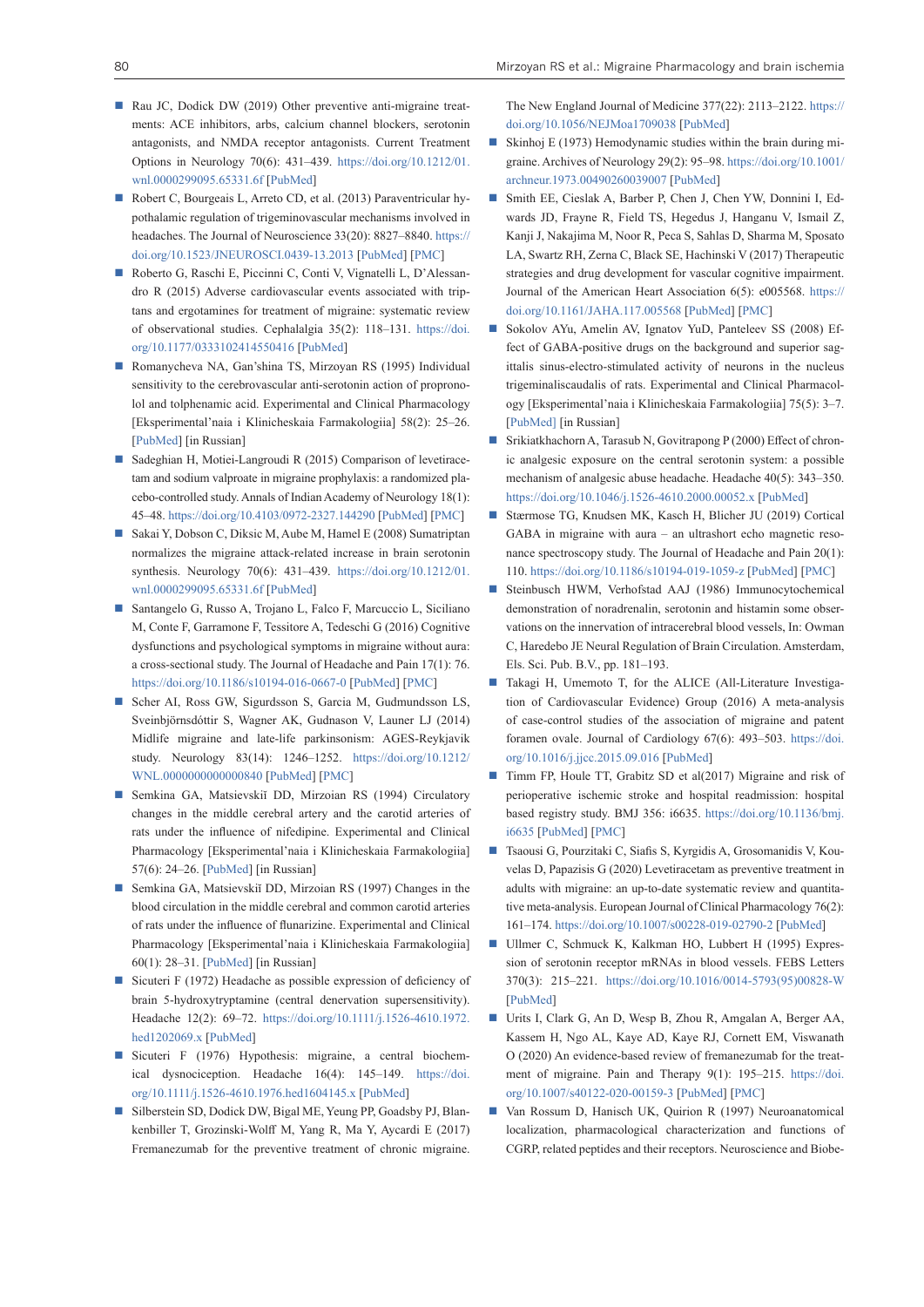- Rau JC, Dodick DW (2019) Other preventive anti-migraine treatments: ACE inhibitors, arbs, calcium channel blockers, serotonin antagonists, and NMDA receptor antagonists. Current Treatment Options in Neurology 70(6): 431–439. [https://doi.org/10.1212/01.](https://doi.org/10.1212/01.wnl.0000299095.65331.6f) [wnl.0000299095.65331.6f](https://doi.org/10.1212/01.wnl.0000299095.65331.6f) [\[PubMed](https://pubmed.ncbi.nlm.nih.gov/30880363/)]
- Robert C, Bourgeais L, Arreto CD, et al. (2013) Paraventricular hypothalamic regulation of trigeminovascular mechanisms involved in headaches. The Journal of Neuroscience 33(20): 8827–8840. [https://](https://doi.org/10.1523/JNEUROSCI.0439-13.2013) [doi.org/10.1523/JNEUROSCI.0439-13.2013](https://doi.org/10.1523/JNEUROSCI.0439-13.2013) [[PubMed\]](https://pubmed.ncbi.nlm.nih.gov/23678125/) [\[PMC\]](https://www.ncbi.nlm.nih.gov/pmc/articles/PMC6618837/)
- Roberto G, Raschi E, Piccinni C, Conti V, Vignatelli L, D'Alessandro R (2015) Adverse cardiovascular events associated with triptans and ergotamines for treatment of migraine: systematic review of observational studies. Cephalalgia 35(2): 118–131. [https://doi.](https://doi.org/10.1177/0333102414550416) [org/10.1177/0333102414550416](https://doi.org/10.1177/0333102414550416) [\[PubMed](https://pubmed.ncbi.nlm.nih.gov/25246519/)]
- Romanycheva NA, Gan'shina TS, Mirzoyan RS (1995) Individual sensitivity to the cerebrovascular anti-serotonin action of propronolol and tolphenamic acid. Experimental and Clinical Pharmacology [Eksperimental'naia i Klinicheskaia Farmakologiia] 58(2): 25–26. [[PubMed\]](https://pubmed.ncbi.nlm.nih.gov/7773082/) [in Russian]
- Sadeghian H, Motiei-Langroudi R (2015) Comparison of levetiracetam and sodium valproate in migraine prophylaxis: a randomized placebo-controlled study. Annals of Indian Academy of Neurology 18(1): 45–48. <https://doi.org/10.4103/0972-2327.144290>[\[PubMed\]](https://pubmed.ncbi.nlm.nih.gov/25745310/) [\[PMC\]](https://www.ncbi.nlm.nih.gov/pmc/articles/PMC4350213/)
- Sakai Y, Dobson C, Diksic M, Aube M, Hamel E (2008) Sumatriptan normalizes the migraine attack-related increase in brain serotonin synthesis. Neurology 70(6): 431–439. [https://doi.org/10.1212/01.](https://doi.org/10.1212/01.wnl.0000299095.65331.6f) [wnl.0000299095.65331.6f](https://doi.org/10.1212/01.wnl.0000299095.65331.6f) [\[PubMed](https://pubmed.ncbi.nlm.nih.gov/18250288/)]
- Santangelo G, Russo A, Trojano L, Falco F, Marcuccio L, Siciliano M, Conte F, Garramone F, Tessitore A, Tedeschi G (2016) Cognitive dysfunctions and psychological symptoms in migraine without aura: a cross-sectional study. The Journal of Headache and Pain 17(1): 76. <https://doi.org/10.1186/s10194-016-0667-0> [[PubMed\]](https://pubmed.ncbi.nlm.nih.gov/27568039/) [\[PMC](https://www.ncbi.nlm.nih.gov/pmc/articles/PMC5002274/)]
- Scher AI, Ross GW, Sigurdsson S, Garcia M, Gudmundsson LS, Sveinbjörnsdóttir S, Wagner AK, Gudnason V, Launer LJ (2014) Midlife migraine and late-life parkinsonism: AGES-Reykjavik study. Neurology 83(14): 1246–1252. [https://doi.org/10.1212/](https://doi.org/10.1212/WNL.0000000000000840) [WNL.0000000000000840](https://doi.org/10.1212/WNL.0000000000000840) [[PubMed\]](https://pubmed.ncbi.nlm.nih.gov/25230997/) [\[PMC](https://www.ncbi.nlm.nih.gov/pmc/articles/PMC4180488/)]
- Semkina GA, Matsievskiĭ DD, Mirzoian RS (1994) Circulatory changes in the middle cerebral artery and the carotid arteries of rats under the influence of nifedipine. Experimental and Clinical Pharmacology [Eksperimental'naia i Klinicheskaia Farmakologiia] 57(6): 24–26. [\[PubMed](https://pubmed.ncbi.nlm.nih.gov/7756951/)] [in Russian]
- Semkina GA, Matsievskiĭ DD, Mirzoian RS (1997) Changes in the blood circulation in the middle cerebral and common carotid arteries of rats under the influence of flunarizine. Experimental and Clinical Pharmacology [Eksperimental'naia i Klinicheskaia Farmakologiia] 60(1): 28–31. [\[PubMed](https://pubmed.ncbi.nlm.nih.gov/9162277/)] [in Russian]
- Sicuteri F (1972) Headache as possible expression of deficiency of brain 5-hydroxytryptamine (central denervation supersensitivity). Headache 12(2): 69–72. [https://doi.org/10.1111/j.1526-4610.1972.](https://doi.org/10.1111/j.1526-4610.1972.hed1202069.x) [hed1202069.x](https://doi.org/10.1111/j.1526-4610.1972.hed1202069.x) [\[PubMed](https://pubmed.ncbi.nlm.nih.gov/4262476/)]
- Sicuteri F (1976) Hypothesis: migraine, a central biochemical dysnociception. Headache 16(4): 145–149. [https://doi.](https://doi.org/10.1111/j.1526-4610.1976.hed1604145.x) [org/10.1111/j.1526-4610.1976.hed1604145.x](https://doi.org/10.1111/j.1526-4610.1976.hed1604145.x) [\[PubMed](https://pubmed.ncbi.nlm.nih.gov/184065/)]
- Silberstein SD, Dodick DW, Bigal ME, Yeung PP, Goadsby PJ, Blankenbiller T, Grozinski-Wolff M, Yang R, Ma Y, Aycardi E (2017) Fremanezumab for the preventive treatment of chronic migraine.

The New England Journal of Medicine 377(22): 2113–2122. [https://](https://doi.org/10.1056/NEJMoa1709038) [doi.org/10.1056/NEJMoa1709038](https://doi.org/10.1056/NEJMoa1709038) [[PubMed\]](https://pubmed.ncbi.nlm.nih.gov/29171818/)

- Skinhoj E (1973) Hemodynamic studies within the brain during migraine. Archives of Neurology 29(2): 95–98. [https://doi.org/10.1001/](https://doi.org/10.1001/archneur.1973.00490260039007) [archneur.1973.00490260039007](https://doi.org/10.1001/archneur.1973.00490260039007) [[PubMed\]](https://pubmed.ncbi.nlm.nih.gov/4717726/)
- Smith EE, Cieslak A, Barber P, Chen J, Chen YW, Donnini I, Edwards JD, Frayne R, Field TS, Hegedus J, Hanganu V, Ismail Z, Kanji J, Nakajima M, Noor R, Peca S, Sahlas D, Sharma M, Sposato LA, Swartz RH, Zerna C, Black SE, Hachinski V (2017) Therapeutic strategies and drug development for vascular cognitive impairment. Journal of the American Heart Association 6(5): e005568. [https://](https://doi.org/10.1161/JAHA.117.005568) [doi.org/10.1161/JAHA.117.005568](https://doi.org/10.1161/JAHA.117.005568) [[PubMed](https://pubmed.ncbi.nlm.nih.gov/28476873/)] [\[PMC](https://www.ncbi.nlm.nih.gov/pmc/articles/PMC5524100/)]
- Sokolov AYu, Amelin AV, Ignatov YuD, Panteleev SS (2008) Effect of GABA-positive drugs on the background and superior sagittalis sinus-electro-stimulated activity of neurons in the nucleus trigeminaliscaudalis of rats. Experimental and Clinical Pharmacology [Eksperimental'naia i Klinicheskaia Farmakologiia] 75(5): 3–7. [[PubMed\]](https://pubmed.ncbi.nlm.nih.gov/19093363/) [in Russian]
- Srikiatkhachorn A, Tarasub N, Govitrapong P (2000) Effect of chronic analgesic exposure on the central serotonin system: a possible mechanism of analgesic abuse headache. Headache 40(5): 343–350. <https://doi.org/10.1046/j.1526-4610.2000.00052.x>[\[PubMed](https://pubmed.ncbi.nlm.nih.gov/10849027/)]
- Stærmose TG, Knudsen MK, Kasch H, Blicher JU (2019) Cortical GABA in migraine with aura – an ultrashort echo magnetic resonance spectroscopy study. The Journal of Headache and Pain 20(1): 110. <https://doi.org/10.1186/s10194-019-1059-z>[\[PubMed\]](https://pubmed.ncbi.nlm.nih.gov/31795972/) [[PMC\]](https://www.ncbi.nlm.nih.gov/pmc/articles/PMC6889606/)
- Steinbusch HWM, Verhofstad AAJ (1986) Immunocytochemical demonstration of noradrenalin, serotonin and histamin some observations on the innervation of intracerebral blood vessels, In: Owman C, Haredebo JE Neural Regulation of Brain Circulation. Amsterdam, Els. Sci. Pub. B.V., pp. 181–193.
- Takagi H, Umemoto T, for the ALICE (All-Literature Investigation of Cardiovascular Evidence) Group (2016) A meta-analysis of case-control studies of the association of migraine and patent foramen ovale. Journal of Cardiology 67(6): 493–503. [https://doi.](https://doi.org/10.1016/j.jjcc.2015.09.016) [org/10.1016/j.jjcc.2015.09.016](https://doi.org/10.1016/j.jjcc.2015.09.016) [[PubMed\]](https://pubmed.ncbi.nlm.nih.gov/26527111/)
- Timm FP, Houle TT, Grabitz SD et al(2017) Migraine and risk of perioperative ischemic stroke and hospital readmission: hospital based registry study. BMJ 356: i6635. [https://doi.org/10.1136/bmj.](https://doi.org/10.1136/bmj.i6635) [i6635](https://doi.org/10.1136/bmj.i6635) [\[PubMed](https://pubmed.ncbi.nlm.nih.gov/28073753/)] [[PMC\]](https://www.ncbi.nlm.nih.gov/pmc/articles/PMC5225233/)
- Tsaousi G, Pourzitaki C, Siafis S, Kyrgidis A, Grosomanidis V, Kouvelas D, Papazisis G (2020) Levetiracetam as preventive treatment in adults with migraine: an up-to-date systematic review and quantitative meta-analysis. European Journal of Clinical Pharmacology 76(2): 161–174. <https://doi.org/10.1007/s00228-019-02790-2> [[PubMed\]](https://pubmed.ncbi.nlm.nih.gov/31768574/)
- Ullmer C, Schmuck K, Kalkman HO, Lubbert H (1995) Expression of serotonin receptor mRNAs in blood vessels. FEBS Letters 370(3): 215–221. [https://doi.org/10.1016/0014-5793\(95\)00828-W](https://doi.org/10.1016/0014-5793(95)00828-W) [[PubMed\]](https://pubmed.ncbi.nlm.nih.gov/7656980/)
- Urits I, Clark G, An D, Wesp B, Zhou R, Amgalan A, Berger AA, Kassem H, Ngo AL, Kaye AD, Kaye RJ, Cornett EM, Viswanath O (2020) An evidence-based review of fremanezumab for the treatment of migraine. Pain and Therapy 9(1): 195–215. [https://doi.](https://doi.org/10.1007/s40122-020-00159-3) [org/10.1007/s40122-020-00159-3](https://doi.org/10.1007/s40122-020-00159-3) [[PubMed\]](https://pubmed.ncbi.nlm.nih.gov/32222952/) [\[PMC](https://www.ncbi.nlm.nih.gov/pmc/articles/PMC7203396/)]
- Van Rossum D, Hanisch UK, Quirion R (1997) Neuroanatomical localization, pharmacological characterization and functions of CGRP, related peptides and their receptors. Neuroscience and Biobe-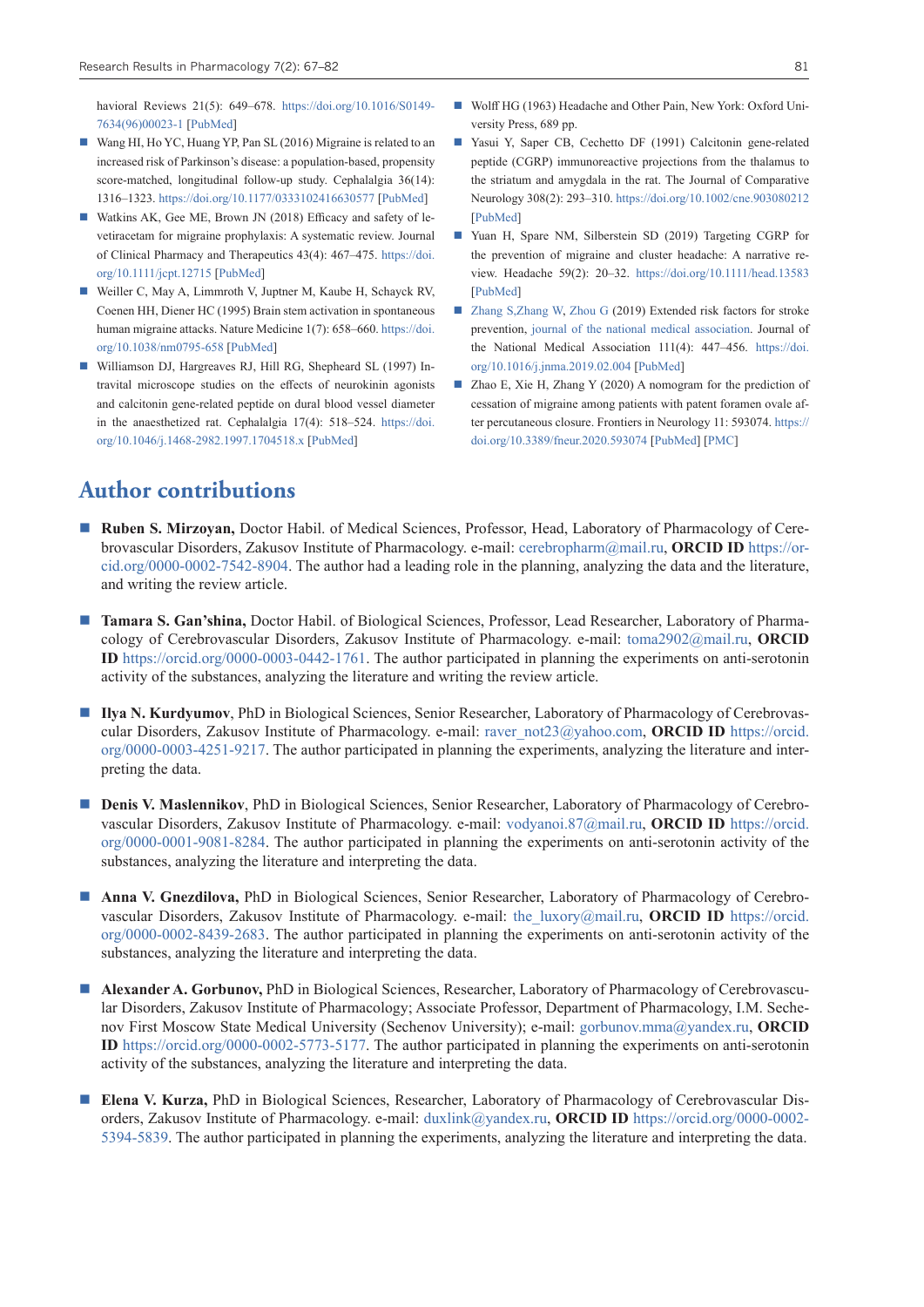havioral Reviews 21(5): 649–678. [https://doi.org/10.1016/S0149-](https://doi.org/10.1016/S0149-7634(96)00023-1) [7634\(96\)00023-1](https://doi.org/10.1016/S0149-7634(96)00023-1) [\[PubMed](https://pubmed.ncbi.nlm.nih.gov/9353797/)]

- Wang HI, Ho YC, Huang YP, Pan SL (2016) Migraine is related to an increased risk of Parkinson's disease: a population-based, propensity score-matched, longitudinal follow-up study. Cephalalgia 36(14): 1316–1323.<https://doi.org/10.1177/0333102416630577> [\[PubMed](https://pubmed.ncbi.nlm.nih.gov/26853806/)]
- Watkins AK, Gee ME, Brown JN (2018) Efficacy and safety of levetiracetam for migraine prophylaxis: A systematic review. Journal of Clinical Pharmacy and Therapeutics 43(4): 467–475. [https://doi.](https://doi.org/10.1111/jcpt.12715) [org/10.1111/jcpt.12715](https://doi.org/10.1111/jcpt.12715) [\[PubMed](https://pubmed.ncbi.nlm.nih.gov/29781197/)]
- Weiller C, May A, Limmroth V, Juptner M, Kaube H, Schayck RV, Coenen HH, Diener HC (1995) Brain stem activation in spontaneous human migraine attacks. Nature Medicine 1(7): 658–660. [https://doi.](https://doi.org/10.1038/nm0795-658) [org/10.1038/nm0795-658](https://doi.org/10.1038/nm0795-658) [[PubMed\]](https://pubmed.ncbi.nlm.nih.gov/7585147/)
- Williamson DJ, Hargreaves RJ, Hill RG, Shepheard SL (1997) Intravital microscope studies on the effects of neurokinin agonists and calcitonin gene-related peptide on dural blood vessel diameter in the anaesthetized rat. Cephalalgia 17(4): 518–524. [https://doi.](https://doi.org/10.1046/j.1468-2982.1997.1704518.x) [org/10.1046/j.1468-2982.1997.1704518.x](https://doi.org/10.1046/j.1468-2982.1997.1704518.x) [[PubMed\]](https://pubmed.ncbi.nlm.nih.gov/9209773/)
- Wolff HG (1963) Headache and Other Pain, New York: Oxford University Press, 689 pp.
- Yasui Y, Saper CB, Cechetto DF (1991) Calcitonin gene-related peptide (CGRP) immunoreactive projections from the thalamus to the striatum and amygdala in the rat. The Journal of Comparative Neurology 308(2): 293–310.<https://doi.org/10.1002/cne.903080212> [\[PubMed](https://pubmed.ncbi.nlm.nih.gov/1890240/)]
- Yuan H, Spare NM, Silberstein SD (2019) Targeting CGRP for the prevention of migraine and cluster headache: A narrative review. Headache 59(2): 20–32. <https://doi.org/10.1111/head.13583> [\[PubMed](https://pubmed.ncbi.nlm.nih.gov/31291020/)]
- [Zhang S,Zhang W, Zhou G](https://www.sciencedirect.com/science/article/pii/S0027968418303304?via%3Dihub#!) (2019) Extended risk factors for stroke prevention, [journal of the national medical association](https://www.sciencedirect.com/science/journal/00279684). Journal of the National Medical Association 111(4): 447–456. [https://doi.](https://doi.org/10.1016/j.jnma.2019.02.004) [org/10.1016/j.jnma.2019.02.004](https://doi.org/10.1016/j.jnma.2019.02.004) [\[PubMed\]](https://pubmed.ncbi.nlm.nih.gov/30878142/)
- Zhao E, Xie H, Zhang Y (2020) A nomogram for the prediction of cessation of migraine among patients with patent foramen ovale after percutaneous closure. Frontiers in Neurology 11: 593074. [https://](https://doi.org/10.3389/fneur.2020.593074) [doi.org/10.3389/fneur.2020.593074](https://doi.org/10.3389/fneur.2020.593074) [[PubMed\]](https://pubmed.ncbi.nlm.nih.gov/33193059/) [\[PMC](https://www.ncbi.nlm.nih.gov/pmc/articles/PMC7645229/)]

# **Author contributions**

- **Ruben S. Mirzoyan,** Doctor Habil. of Medical Sciences, Professor, Head, Laboratory of Pharmacology of Cerebrovascular Disorders, Zakusov Institute of Pharmacology. e-mail: [cerebropharm@mail.ru,](mailto:cerebropharm@mail.ru) **ORCID ID** [https://or](https://orcid.org/0000-0002-7542-8904)[cid.org/0000-0002-7542-8904.](https://orcid.org/0000-0002-7542-8904) The author had a leading role in the planning, analyzing the data and the literature, and writing the review article.
- **Tamara S. Gan'shina,** Doctor Habil. of Biological Sciences, Professor, Lead Researcher, Laboratory of Pharmacology of Cerebrovascular Disorders, Zakusov Institute of Pharmacology. e-mail: [toma2902@mail.ru](mailto:toma2902@mail.ru), **ORCID ID** [https://orcid.org/0000-0003-0442-1761.](https://orcid.org/0000-0003-0442-1761) The author participated in planning the experiments on anti-serotonin activity of the substances, analyzing the literature and writing the review article.
- **Ilya N. Kurdyumov**, PhD in Biological Sciences, Senior Researcher, Laboratory of Pharmacology of Cerebrovascular Disorders, Zakusov Institute of Pharmacology. e-mail: [raver\\_not23@yahoo.com](mailto:raver_not23@yahoo.com), **ORCID ID** [https://orcid.](https://orcid.org/0000-0003-4251-9217) [org/0000-0003-4251-9217](https://orcid.org/0000-0003-4251-9217). The author participated in planning the experiments, analyzing the literature and interpreting the data.
- **Denis V. Maslennikov**, PhD in Biological Sciences, Senior Researcher, Laboratory of Pharmacology of Cerebrovascular Disorders, Zakusov Institute of Pharmacology. e-mail: [vodyanoi.87@mail.ru,](mailto:vodyanoi.87@mail.ru) **ORCID ID** [https://orcid.](https://orcid.org/0000-0001-9081-8284) [org/0000-0001-9081-8284](https://orcid.org/0000-0001-9081-8284). The author participated in planning the experiments on anti-serotonin activity of the substances, analyzing the literature and interpreting the data.
- **Anna V. Gnezdilova,** PhD in Biological Sciences, Senior Researcher, Laboratory of Pharmacology of Cerebrovascular Disorders, Zakusov Institute of Pharmacology. e-mail: [the\\_luxory@mail.ru,](http://e.mail.ru/compose/?mailto=mailto%3athe_luxory@mail.ru) **ORCID ID** [https://orcid.](https://orcid.org/0000-0002-8439-2683) [org/0000-0002-8439-2683](https://orcid.org/0000-0002-8439-2683). The author participated in planning the experiments on anti-serotonin activity of the substances, analyzing the literature and interpreting the data.
- **Alexander A. Gorbunov,** PhD in Biological Sciences, Researcher, Laboratory of Pharmacology of Cerebrovascular Disorders, Zakusov Institute of Pharmacology; Associate Professor, Department of Pharmaсology, I.M. Sechenov First Moscow State Medical University (Sechenov University); e-mail: [gorbunov.mma@yandex.ru,](mailto:gorbunov.mma@yandex.ru) **ORCID ID** [https://orcid.org/0000-0002-5773-5177.](https://orcid.org/0000-0002-5773-5177) The author participated in planning the experiments on anti-serotonin activity of the substances, analyzing the literature and interpreting the data.
- **Elena V. Kurza,** PhD in Biological Sciences, Researcher, Laboratory of Pharmacology of Cerebrovascular Disorders, Zakusov Institute of Pharmacology. e-mail: [duxlink@yandex.ru,](mailto:duxlink@yandex.ru) **ORCID ID** [https://orcid.org/0000-0002-](https://orcid.org/0000-0002-5394-5839) [5394-5839.](https://orcid.org/0000-0002-5394-5839) The author participated in planning the experiments, analyzing the literature and interpreting the data.